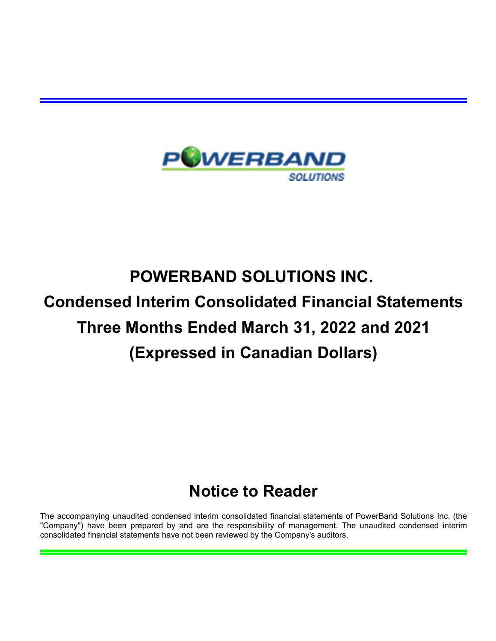

# **POWERBAND SOLUTIONS INC. Condensed Interim Consolidated Financial Statements Three Months Ended March 31, 2022 and 2021 (Expressed in Canadian Dollars)**

## **Notice to Reader**

The accompanying unaudited condensed interim consolidated financial statements of PowerBand Solutions Inc. (the "Company") have been prepared by and are the responsibility of management. The unaudited condensed interim consolidated financial statements have not been reviewed by the Company's auditors.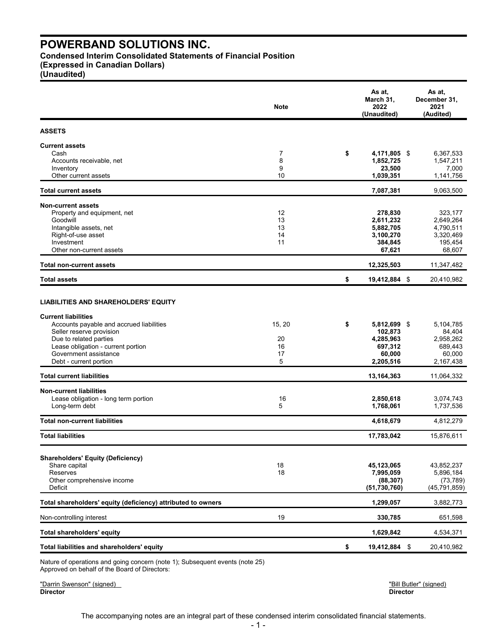**Condensed Interim Consolidated Statements of Financial Position**

**(Expressed in Canadian Dollars)**

**(Unaudited)**

|                                                                                                                                                                                                                                                                      | <b>Note</b>                   | As at.<br>March 31,<br>2022<br>(Unaudited)                                   | As at.<br>December 31,<br>2021<br>(Audited)                         |
|----------------------------------------------------------------------------------------------------------------------------------------------------------------------------------------------------------------------------------------------------------------------|-------------------------------|------------------------------------------------------------------------------|---------------------------------------------------------------------|
| <b>ASSETS</b>                                                                                                                                                                                                                                                        |                               |                                                                              |                                                                     |
| <b>Current assets</b><br>Cash<br>Accounts receivable, net<br>Inventory<br>Other current assets                                                                                                                                                                       | 7<br>8<br>9<br>10             | \$<br>4,171,805 \$<br>1,852,725<br>23,500<br>1,039,351                       | 6,367,533<br>1,547,211<br>7,000<br>1,141,756                        |
| Total current assets                                                                                                                                                                                                                                                 |                               | 7,087,381                                                                    | 9,063,500                                                           |
| <b>Non-current assets</b><br>Property and equipment, net<br>Goodwill<br>Intangible assets, net<br>Right-of-use asset<br>Investment<br>Other non-current assets                                                                                                       | 12<br>13<br>13<br>14<br>11    | 278,830<br>2,611,232<br>5,882,705<br>3,100,270<br>384,845<br>67,621          | 323,177<br>2,649,264<br>4,790,511<br>3,320,469<br>195,454<br>68,607 |
| <b>Total non-current assets</b>                                                                                                                                                                                                                                      |                               | 12,325,503                                                                   | 11,347,482                                                          |
| Total assets                                                                                                                                                                                                                                                         |                               | \$<br>19,412,884 \$                                                          | 20,410,982                                                          |
| <b>LIABILITIES AND SHAREHOLDERS' EQUITY</b><br><b>Current liabilities</b><br>Accounts payable and accrued liabilities<br>Seller reserve provision<br>Due to related parties<br>Lease obligation - current portion<br>Government assistance<br>Debt - current portion | 15, 20<br>20<br>16<br>17<br>5 | \$<br>5,812,699 \$<br>102,873<br>4,285,963<br>697,312<br>60,000<br>2,205,516 | 5,104,785<br>84,404<br>2,958,262<br>689,443<br>60,000<br>2,167,438  |
| <b>Total current liabilities</b>                                                                                                                                                                                                                                     |                               | 13, 164, 363                                                                 | 11,064,332                                                          |
| <b>Non-current liabilities</b><br>Lease obligation - long term portion<br>Long-term debt                                                                                                                                                                             | 16<br>5                       | 2,850,618<br>1,768,061                                                       | 3,074,743<br>1,737,536                                              |
| <b>Total non-current liabilities</b>                                                                                                                                                                                                                                 |                               | 4,618,679                                                                    | 4,812,279                                                           |
| <b>Total liabilities</b>                                                                                                                                                                                                                                             |                               | 17,783,042                                                                   | 15,876,611                                                          |
| <b>Shareholders' Equity (Deficiency)</b><br>Share capital<br>Reserves<br>Other comprehensive income<br>Deficit                                                                                                                                                       | 18<br>18                      | 45,123,065<br>7,995,059<br>(88, 307)<br>(51, 730, 760)                       | 43,852,237<br>5,896,184<br>(73, 789)<br>(45, 791, 859)              |
| Total shareholders' equity (deficiency) attributed to owners                                                                                                                                                                                                         |                               | 1,299,057                                                                    | 3,882,773                                                           |
| Non-controlling interest                                                                                                                                                                                                                                             | 19                            | 330,785                                                                      | 651,598                                                             |
| Total shareholders' equity                                                                                                                                                                                                                                           |                               | 1,629,842                                                                    | 4,534,371                                                           |
| Total liabilities and shareholders' equity                                                                                                                                                                                                                           |                               | \$<br>19,412,884 \$                                                          | 20,410,982                                                          |

Nature of operations and going concern (note 1); Subsequent events (note 25) Approved on behalf of the Board of Directors:

"Darrin Swenson" (signed) "Bill Butler" (signed) **Director Director**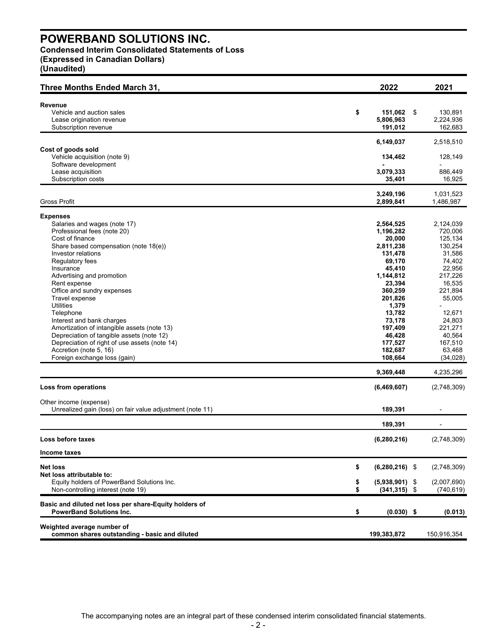## **POWERBAND SOLUTIONS INC. Condensed Interim Consolidated Statements of Loss (Expressed in Canadian Dollars)**

**(Unaudited)**

| Three Months Ended March 31,                                                                                                                                                                                                                                                                                                                                                                                                                                                                                                                                            |          | 2022                                                                                                                                                                                                                                     | 2021                                                                                                                                                                                                                      |
|-------------------------------------------------------------------------------------------------------------------------------------------------------------------------------------------------------------------------------------------------------------------------------------------------------------------------------------------------------------------------------------------------------------------------------------------------------------------------------------------------------------------------------------------------------------------------|----------|------------------------------------------------------------------------------------------------------------------------------------------------------------------------------------------------------------------------------------------|---------------------------------------------------------------------------------------------------------------------------------------------------------------------------------------------------------------------------|
| <b>Revenue</b><br>Vehicle and auction sales<br>Lease origination revenue<br>Subscription revenue                                                                                                                                                                                                                                                                                                                                                                                                                                                                        | \$       | 151,062<br>-\$<br>5,806,963<br>191,012                                                                                                                                                                                                   | 130,891<br>2,224,936<br>162,683                                                                                                                                                                                           |
|                                                                                                                                                                                                                                                                                                                                                                                                                                                                                                                                                                         |          | 6,149,037                                                                                                                                                                                                                                | 2,518,510                                                                                                                                                                                                                 |
| Cost of goods sold<br>Vehicle acquisition (note 9)                                                                                                                                                                                                                                                                                                                                                                                                                                                                                                                      |          | 134,462                                                                                                                                                                                                                                  | 128,149                                                                                                                                                                                                                   |
| Software development<br>Lease acquisition<br>Subscription costs                                                                                                                                                                                                                                                                                                                                                                                                                                                                                                         |          | 3,079,333<br>35,401                                                                                                                                                                                                                      | 886,449<br>16,925                                                                                                                                                                                                         |
| Gross Profit                                                                                                                                                                                                                                                                                                                                                                                                                                                                                                                                                            |          | 3,249,196<br>2,899,841                                                                                                                                                                                                                   | 1,031,523<br>1,486,987                                                                                                                                                                                                    |
| <b>Expenses</b>                                                                                                                                                                                                                                                                                                                                                                                                                                                                                                                                                         |          |                                                                                                                                                                                                                                          |                                                                                                                                                                                                                           |
| Salaries and wages (note 17)<br>Professional fees (note 20)<br>Cost of finance<br>Share based compensation (note 18(e))<br>Investor relations<br>Regulatory fees<br>Insurance<br>Advertising and promotion<br>Rent expense<br>Office and sundry expenses<br>Travel expense<br><b>Utilities</b><br>Telephone<br>Interest and bank charges<br>Amortization of intangible assets (note 13)<br>Depreciation of tangible assets (note 12)<br>Depreciation of right of use assets (note 14)<br>Accretion (note 5, 16)<br>Foreign exchange loss (gain)<br>Loss from operations |          | 2,564,525<br>1,196,282<br>20,000<br>2,811,238<br>131,478<br>69,170<br>45,410<br>1,144,812<br>23,394<br>360,259<br>201,826<br>1,379<br>13,782<br>73,178<br>197,409<br>46,428<br>177,527<br>182,687<br>108,664<br>9,369,448<br>(6,469,607) | 2,124,039<br>720,006<br>125,134<br>130,254<br>31,586<br>74,402<br>22,956<br>217,226<br>16,535<br>221,894<br>55,005<br>12,671<br>24,803<br>221,271<br>40,564<br>167,510<br>63,468<br>(34, 028)<br>4,235,296<br>(2,748,309) |
| Other income (expense)                                                                                                                                                                                                                                                                                                                                                                                                                                                                                                                                                  |          |                                                                                                                                                                                                                                          |                                                                                                                                                                                                                           |
| Unrealized gain (loss) on fair value adjustment (note 11)                                                                                                                                                                                                                                                                                                                                                                                                                                                                                                               |          | 189,391                                                                                                                                                                                                                                  |                                                                                                                                                                                                                           |
| Loss before taxes                                                                                                                                                                                                                                                                                                                                                                                                                                                                                                                                                       |          | 189,391<br>(6, 280, 216)                                                                                                                                                                                                                 | (2,748,309)                                                                                                                                                                                                               |
| Income taxes                                                                                                                                                                                                                                                                                                                                                                                                                                                                                                                                                            |          |                                                                                                                                                                                                                                          |                                                                                                                                                                                                                           |
| Net loss<br>Net loss attributable to:                                                                                                                                                                                                                                                                                                                                                                                                                                                                                                                                   | \$       | $(6,280,216)$ \$                                                                                                                                                                                                                         | (2,748,309)                                                                                                                                                                                                               |
| Equity holders of PowerBand Solutions Inc.<br>Non-controlling interest (note 19)                                                                                                                                                                                                                                                                                                                                                                                                                                                                                        | \$<br>\$ | $(5,938,901)$ \$<br>$(341, 315)$ \$                                                                                                                                                                                                      | (2,007,690)<br>(740, 619)                                                                                                                                                                                                 |
| Basic and diluted net loss per share-Equity holders of<br><b>PowerBand Solutions Inc.</b>                                                                                                                                                                                                                                                                                                                                                                                                                                                                               | \$       | $(0.030)$ \$                                                                                                                                                                                                                             | (0.013)                                                                                                                                                                                                                   |
| Weighted average number of<br>common shares outstanding - basic and diluted                                                                                                                                                                                                                                                                                                                                                                                                                                                                                             |          | 199,383,872                                                                                                                                                                                                                              | 150,916,354                                                                                                                                                                                                               |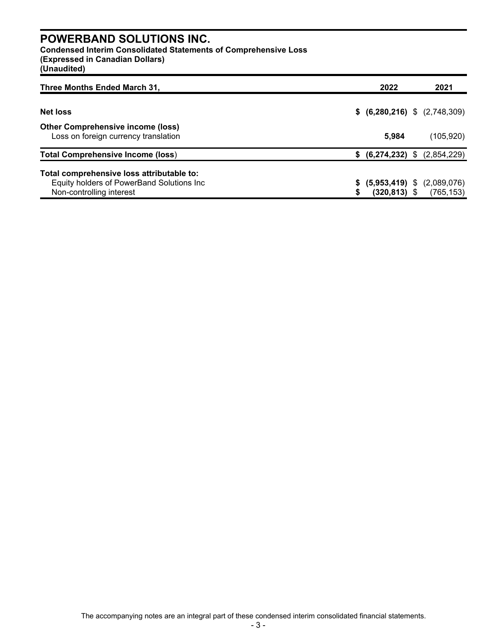**Condensed Interim Consolidated Statements of Comprehensive Loss (Expressed in Canadian Dollars) (Unaudited)**

| Three Months Ended March 31,                                                                                       | 2022     | 2021                                                         |
|--------------------------------------------------------------------------------------------------------------------|----------|--------------------------------------------------------------|
| <b>Net loss</b>                                                                                                    |          | $$$ (6,280,216) $$$ (2,748,309)                              |
| <b>Other Comprehensive income (loss)</b><br>Loss on foreign currency translation                                   | 5.984    | (105, 920)                                                   |
| <b>Total Comprehensive Income (loss)</b>                                                                           |          | $$$ (6,274,232) $$$ (2,854,229)                              |
| Total comprehensive loss attributable to:<br>Equity holders of PowerBand Solutions Inc<br>Non-controlling interest | \$<br>\$ | $(5,953,419)$ \$ $(2,089,076)$<br>$(320,813)$ \$ $(765,153)$ |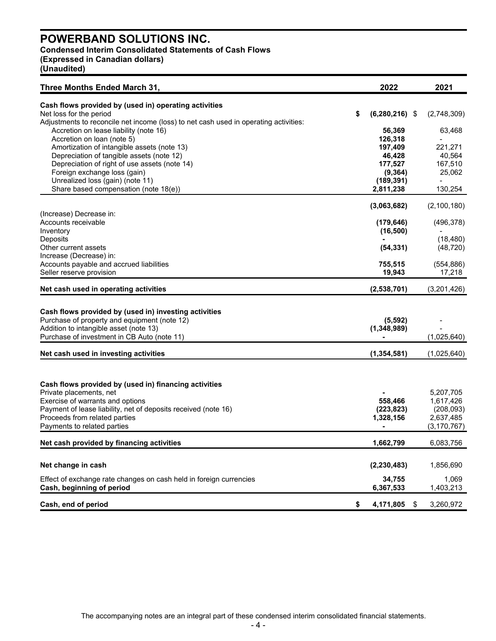## **Condensed Interim Consolidated Statements of Cash Flows**

## **(Expressed in Canadian dollars)**

**(Unaudited)**

| Three Months Ended March 31,                                                         | 2022                   | 2021          |
|--------------------------------------------------------------------------------------|------------------------|---------------|
| Cash flows provided by (used in) operating activities                                |                        |               |
| Net loss for the period                                                              | \$<br>$(6,280,216)$ \$ | (2,748,309)   |
| Adjustments to reconcile net income (loss) to net cash used in operating activities: |                        |               |
| Accretion on lease liability (note 16)                                               | 56,369                 | 63,468        |
| Accretion on loan (note 5)                                                           | 126,318                |               |
| Amortization of intangible assets (note 13)                                          | 197,409                | 221,271       |
| Depreciation of tangible assets (note 12)                                            | 46,428                 | 40,564        |
| Depreciation of right of use assets (note 14)                                        | 177,527                | 167,510       |
| Foreign exchange loss (gain)                                                         | (9, 364)<br>(189, 391) | 25,062        |
| Unrealized loss (gain) (note 11)<br>Share based compensation (note 18(e))            | 2,811,238              | 130,254       |
|                                                                                      |                        |               |
| (Increase) Decrease in:                                                              | (3,063,682)            | (2, 100, 180) |
| Accounts receivable                                                                  | (179, 646)             | (496, 378)    |
| Inventory                                                                            | (16, 500)              |               |
| Deposits                                                                             |                        | (18, 480)     |
| Other current assets                                                                 | (54, 331)              | (48, 720)     |
| Increase (Decrease) in:                                                              |                        |               |
| Accounts payable and accrued liabilities                                             | 755,515                | (554, 886)    |
| Seller reserve provision                                                             | 19,943                 | 17,218        |
| Net cash used in operating activities                                                | (2,538,701)            | (3,201,426)   |
|                                                                                      |                        |               |
| Cash flows provided by (used in) investing activities                                |                        |               |
| Purchase of property and equipment (note 12)                                         | (5, 592)               |               |
| Addition to intangible asset (note 13)                                               | (1,348,989)            |               |
| Purchase of investment in CB Auto (note 11)                                          |                        | (1,025,640)   |
| Net cash used in investing activities                                                | (1, 354, 581)          | (1,025,640)   |
|                                                                                      |                        |               |
| Cash flows provided by (used in) financing activities                                |                        |               |
| Private placements, net                                                              |                        | 5,207,705     |
| Exercise of warrants and options                                                     | 558,466                | 1,617,426     |
| Payment of lease liability, net of deposits received (note 16)                       | (223, 823)             | (208,093)     |
| Proceeds from related parties                                                        | 1,328,156              | 2,637,485     |
| Payments to related parties                                                          |                        | (3, 170, 767) |
| Net cash provided by financing activities                                            | 1,662,799              | 6,083,756     |
|                                                                                      |                        |               |
| Net change in cash                                                                   | (2, 230, 483)          | 1,856,690     |
| Effect of exchange rate changes on cash held in foreign currencies                   | 34,755                 | 1,069         |
| Cash, beginning of period                                                            | 6,367,533              | 1,403,213     |
| Cash, end of period                                                                  | \$<br>4,171,805<br>\$  | 3,260,972     |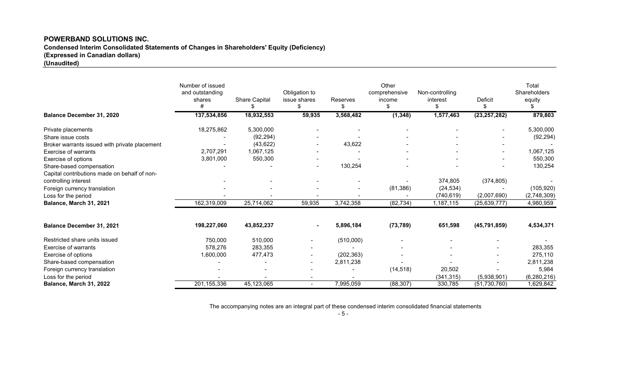**Condensed Interim Consolidated Statements of Changes in Shareholders' Equity (Deficiency)**

**(Expressed in Canadian dollars)**

**(Unaudited)**

|                                               | Number of issued<br>and outstanding<br>shares | Share Capital | Obligation to<br>issue shares | Reserves   | Other<br>comprehensive<br>income | Non-controlling<br>interest<br>\$ | Deficit        | Total<br>Shareholders<br>equity |
|-----------------------------------------------|-----------------------------------------------|---------------|-------------------------------|------------|----------------------------------|-----------------------------------|----------------|---------------------------------|
| Balance December 31, 2020                     | 137,534,856                                   | 18,932,553    | 59,935                        | 3,568,482  | (1, 348)                         | 1,577,463                         | (23, 257, 282) | 879,803                         |
| Private placements                            | 18,275,862                                    | 5,300,000     |                               |            |                                  |                                   |                | 5,300,000                       |
| Share issue costs                             |                                               | (92, 294)     |                               |            |                                  |                                   |                | (92, 294)                       |
| Broker warrants issued with private placement |                                               | (43, 622)     |                               | 43,622     |                                  |                                   |                |                                 |
| Exercise of warrants                          | 2,707,291                                     | 1,067,125     |                               |            |                                  |                                   |                | 1,067,125                       |
| Exercise of options                           | 3,801,000                                     | 550,300       |                               |            |                                  |                                   |                | 550,300                         |
| Share-based compensation                      |                                               |               |                               | 130,254    |                                  |                                   |                | 130,254                         |
| Capital contributions made on behalf of non-  |                                               |               |                               |            |                                  |                                   |                |                                 |
| controlling interest                          |                                               |               |                               |            |                                  | 374,805                           | (374, 805)     |                                 |
| Foreign currency translation                  |                                               |               |                               |            | (81, 386)                        | (24, 534)                         |                | (105, 920)                      |
| Loss for the period                           |                                               |               |                               |            |                                  | (740, 619)                        | (2,007,690)    | (2,748,309)                     |
| Balance, March 31, 2021                       | 162,319,009                                   | 25,714,062    | 59,935                        | 3,742,358  | (82, 734)                        | 1,187,115                         | (25, 639, 777) | 4,980,959                       |
| Balance December 31, 2021                     | 198,227,060                                   | 43,852,237    |                               | 5,896,184  | (73, 789)                        | 651,598                           | (45, 791, 859) | 4,534,371                       |
| Restricted share units issued                 | 750,000                                       | 510,000       |                               | (510,000)  |                                  |                                   |                |                                 |
| Exercise of warrants                          | 578,276                                       | 283,355       |                               |            |                                  |                                   |                | 283,355                         |
| Exercise of options                           | 1,600,000                                     | 477,473       |                               | (202, 363) |                                  |                                   |                | 275,110                         |
| Share-based compensation                      |                                               |               |                               | 2,811,238  |                                  |                                   |                | 2,811,238                       |
| Foreign currency translation                  |                                               |               |                               |            | (14, 518)                        | 20,502                            |                | 5,984                           |
| Loss for the period                           |                                               |               |                               |            |                                  | (341, 315)                        | (5,938,901)    | (6, 280, 216)                   |
| Balance, March 31, 2022                       | 201, 155, 336                                 | 45,123,065    |                               | 7,995,059  | (88, 307)                        | 330,785                           | (51, 730, 760) | 1,629,842                       |

The accompanying notes are an integral part of these condensed interim consolidated financial statements

- 5 -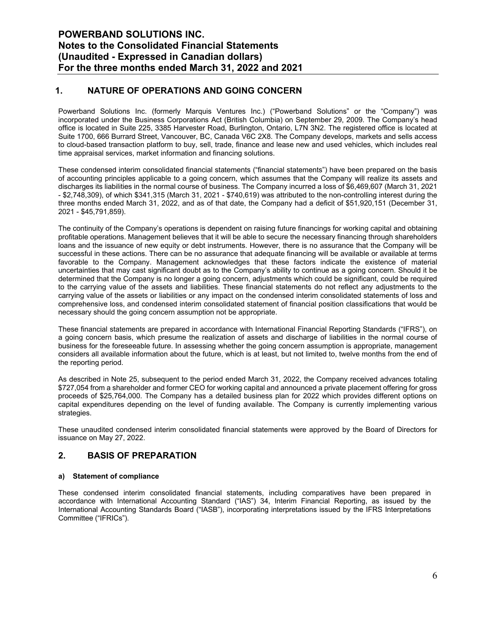## **POWERBAND SOLUTIONS INC. Notes to the Consolidated Financial Statements (Unaudited - Expressed in Canadian dollars) For the three months ended March 31, 2022 and 2021**

## **1. NATURE OF OPERATIONS AND GOING CONCERN**

Powerband Solutions Inc. (formerly Marquis Ventures Inc.) ("Powerband Solutions" or the "Company") was incorporated under the Business Corporations Act (British Columbia) on September 29, 2009. The Company's head office is located in Suite 225, 3385 Harvester Road, Burlington, Ontario, L7N 3N2. The registered office is located at Suite 1700, 666 Burrard Street, Vancouver, BC, Canada V6C 2X8. The Company develops, markets and sells access to cloud-based transaction platform to buy, sell, trade, finance and lease new and used vehicles, which includes real time appraisal services, market information and financing solutions.

These condensed interim consolidated financial statements ("financial statements") have been prepared on the basis of accounting principles applicable to a going concern, which assumes that the Company will realize its assets and discharges its liabilities in the normal course of business. The Company incurred a loss of \$6,469,607 (March 31, 2021 - \$2,748,309), of which \$341,315 (March 31, 2021 - \$740,619) was attributed to the non-controlling interest during the three months ended March 31, 2022, and as of that date, the Company had a deficit of \$51,920,151 (December 31, 2021 - \$45,791,859).

The continuity of the Company's operations is dependent on raising future financings for working capital and obtaining profitable operations. Management believes that it will be able to secure the necessary financing through shareholders loans and the issuance of new equity or debt instruments. However, there is no assurance that the Company will be successful in these actions. There can be no assurance that adequate financing will be available or available at terms favorable to the Company. Management acknowledges that these factors indicate the existence of material uncertainties that may cast significant doubt as to the Company's ability to continue as a going concern. Should it be determined that the Company is no longer a going concern, adjustments which could be significant, could be required to the carrying value of the assets and liabilities. These financial statements do not reflect any adjustments to the carrying value of the assets or liabilities or any impact on the condensed interim consolidated statements of loss and comprehensive loss, and condensed interim consolidated statement of financial position classifications that would be necessary should the going concern assumption not be appropriate.

These financial statements are prepared in accordance with International Financial Reporting Standards ("IFRS"), on a going concern basis, which presume the realization of assets and discharge of liabilities in the normal course of business for the foreseeable future. In assessing whether the going concern assumption is appropriate, management considers all available information about the future, which is at least, but not limited to, twelve months from the end of the reporting period.

As described in Note 25, subsequent to the period ended March 31, 2022, the Company received advances totaling \$727,054 from a shareholder and former CEO for working capital and announced a private placement offering for gross proceeds of \$25,764,000. The Company has a detailed business plan for 2022 which provides different options on capital expenditures depending on the level of funding available. The Company is currently implementing various strategies.

These unaudited condensed interim consolidated financial statements were approved by the Board of Directors for issuance on May 27, 2022.

## **2. BASIS OF PREPARATION**

#### **a) Statement of compliance**

These condensed interim consolidated financial statements, including comparatives have been prepared in accordance with International Accounting Standard ("IAS") 34, Interim Financial Reporting, as issued by the International Accounting Standards Board ("IASB"), incorporating interpretations issued by the IFRS Interpretations Committee ("IFRICs").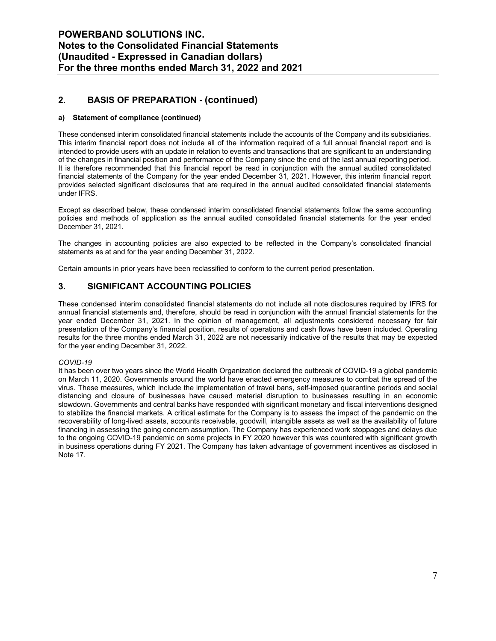## **POWERBAND SOLUTIONS INC. Notes to the Consolidated Financial Statements (Unaudited - Expressed in Canadian dollars) For the three months ended March 31, 2022 and 2021**

## **2. BASIS OF PREPARATION - (continued)**

#### **a) Statement of compliance (continued)**

These condensed interim consolidated financial statements include the accounts of the Company and its subsidiaries. This interim financial report does not include all of the information required of a full annual financial report and is intended to provide users with an update in relation to events and transactions that are significant to an understanding of the changes in financial position and performance of the Company since the end of the last annual reporting period. It is therefore recommended that this financial report be read in conjunction with the annual audited consolidated financial statements of the Company for the year ended December 31, 2021. However, this interim financial report provides selected significant disclosures that are required in the annual audited consolidated financial statements under IFRS.

Except as described below, these condensed interim consolidated financial statements follow the same accounting policies and methods of application as the annual audited consolidated financial statements for the year ended December 31, 2021.

The changes in accounting policies are also expected to be reflected in the Company's consolidated financial statements as at and for the year ending December 31, 2022.

Certain amounts in prior years have been reclassified to conform to the current period presentation.

## **3. SIGNIFICANT ACCOUNTING POLICIES**

These condensed interim consolidated financial statements do not include all note disclosures required by IFRS for annual financial statements and, therefore, should be read in conjunction with the annual financial statements for the year ended December 31, 2021. In the opinion of management, all adjustments considered necessary for fair presentation of the Company's financial position, results of operations and cash flows have been included. Operating results for the three months ended March 31, 2022 are not necessarily indicative of the results that may be expected for the year ending December 31, 2022.

#### *COVID-19*

It has been over two years since the World Health Organization declared the outbreak of COVID-19 a global pandemic on March 11, 2020. Governments around the world have enacted emergency measures to combat the spread of the virus. These measures, which include the implementation of travel bans, self-imposed quarantine periods and social distancing and closure of businesses have caused material disruption to businesses resulting in an economic slowdown. Governments and central banks have responded with significant monetary and fiscal interventions designed to stabilize the financial markets. A critical estimate for the Company is to assess the impact of the pandemic on the recoverability of long-lived assets, accounts receivable, goodwill, intangible assets as well as the availability of future financing in assessing the going concern assumption. The Company has experienced work stoppages and delays due to the ongoing COVID-19 pandemic on some projects in FY 2020 however this was countered with significant growth in business operations during FY 2021. The Company has taken advantage of government incentives as disclosed in Note 17.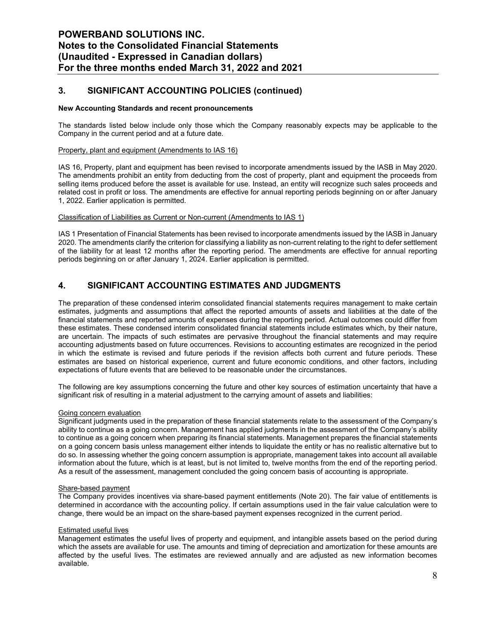## **3. SIGNIFICANT ACCOUNTING POLICIES (continued)**

#### **New Accounting Standards and recent pronouncements**

The standards listed below include only those which the Company reasonably expects may be applicable to the Company in the current period and at a future date.

#### Property, plant and equipment (Amendments to IAS 16)

IAS 16, Property, plant and equipment has been revised to incorporate amendments issued by the IASB in May 2020. The amendments prohibit an entity from deducting from the cost of property, plant and equipment the proceeds from selling items produced before the asset is available for use. Instead, an entity will recognize such sales proceeds and related cost in profit or loss. The amendments are effective for annual reporting periods beginning on or after January 1, 2022. Earlier application is permitted.

#### Classification of Liabilities as Current or Non-current (Amendments to IAS 1)

IAS 1 Presentation of Financial Statements has been revised to incorporate amendments issued by the IASB in January 2020. The amendments clarify the criterion for classifying a liability as non-current relating to the right to defer settlement of the liability for at least 12 months after the reporting period. The amendments are effective for annual reporting periods beginning on or after January 1, 2024. Earlier application is permitted.

#### **4. SIGNIFICANT ACCOUNTING ESTIMATES AND JUDGMENTS**

The preparation of these condensed interim consolidated financial statements requires management to make certain estimates, judgments and assumptions that affect the reported amounts of assets and liabilities at the date of the financial statements and reported amounts of expenses during the reporting period. Actual outcomes could differ from these estimates. These condensed interim consolidated financial statements include estimates which, by their nature, are uncertain. The impacts of such estimates are pervasive throughout the financial statements and may require accounting adjustments based on future occurrences. Revisions to accounting estimates are recognized in the period in which the estimate is revised and future periods if the revision affects both current and future periods. These estimates are based on historical experience, current and future economic conditions, and other factors, including expectations of future events that are believed to be reasonable under the circumstances.

The following are key assumptions concerning the future and other key sources of estimation uncertainty that have a significant risk of resulting in a material adjustment to the carrying amount of assets and liabilities:

#### Going concern evaluation

Significant judgments used in the preparation of these financial statements relate to the assessment of the Company's ability to continue as a going concern. Management has applied judgments in the assessment of the Company's ability to continue as a going concern when preparing its financial statements. Management prepares the financial statements on a going concern basis unless management either intends to liquidate the entity or has no realistic alternative but to do so. In assessing whether the going concern assumption is appropriate, management takes into account all available information about the future, which is at least, but is not limited to, twelve months from the end of the reporting period. As a result of the assessment, management concluded the going concern basis of accounting is appropriate.

#### Share-based payment

The Company provides incentives via share-based payment entitlements (Note 20). The fair value of entitlements is determined in accordance with the accounting policy. If certain assumptions used in the fair value calculation were to change, there would be an impact on the share-based payment expenses recognized in the current period.

#### Estimated useful lives

Management estimates the useful lives of property and equipment, and intangible assets based on the period during which the assets are available for use. The amounts and timing of depreciation and amortization for these amounts are affected by the useful lives. The estimates are reviewed annually and are adjusted as new information becomes available.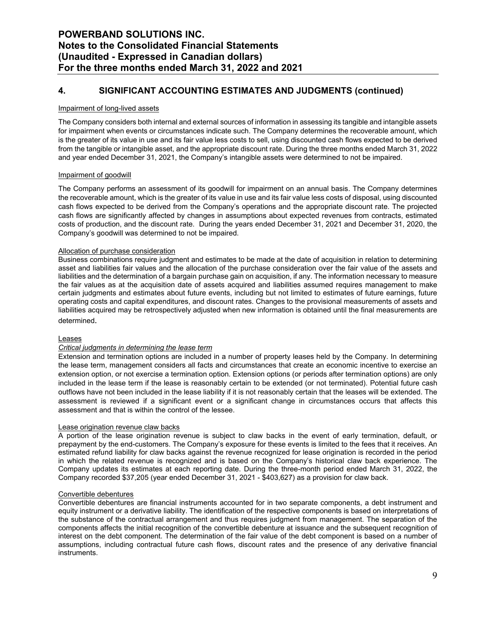## **4. SIGNIFICANT ACCOUNTING ESTIMATES AND JUDGMENTS (continued)**

#### Impairment of long-lived assets

The Company considers both internal and external sources of information in assessing its tangible and intangible assets for impairment when events or circumstances indicate such. The Company determines the recoverable amount, which is the greater of its value in use and its fair value less costs to sell, using discounted cash flows expected to be derived from the tangible or intangible asset, and the appropriate discount rate. During the three months ended March 31, 2022 and year ended December 31, 2021, the Company's intangible assets were determined to not be impaired.

#### Impairment of goodwill

The Company performs an assessment of its goodwill for impairment on an annual basis. The Company determines the recoverable amount, which is the greater of its value in use and its fair value less costs of disposal, using discounted cash flows expected to be derived from the Company's operations and the appropriate discount rate. The projected cash flows are significantly affected by changes in assumptions about expected revenues from contracts, estimated costs of production, and the discount rate. During the years ended December 31, 2021 and December 31, 2020, the Company's goodwill was determined to not be impaired.

#### Allocation of purchase consideration

Business combinations require judgment and estimates to be made at the date of acquisition in relation to determining asset and liabilities fair values and the allocation of the purchase consideration over the fair value of the assets and liabilities and the determination of a bargain purchase gain on acquisition, if any. The information necessary to measure the fair values as at the acquisition date of assets acquired and liabilities assumed requires management to make certain judgments and estimates about future events, including but not limited to estimates of future earnings, future operating costs and capital expenditures, and discount rates. Changes to the provisional measurements of assets and liabilities acquired may be retrospectively adjusted when new information is obtained until the final measurements are determined.

#### **Leases**

#### *Critical judgments in determining the lease term*

Extension and termination options are included in a number of property leases held by the Company. In determining the lease term, management considers all facts and circumstances that create an economic incentive to exercise an extension option, or not exercise a termination option. Extension options (or periods after termination options) are only included in the lease term if the lease is reasonably certain to be extended (or not terminated). Potential future cash outflows have not been included in the lease liability if it is not reasonably certain that the leases will be extended. The assessment is reviewed if a significant event or a significant change in circumstances occurs that affects this assessment and that is within the control of the lessee.

#### Lease origination revenue claw backs

A portion of the lease origination revenue is subject to claw backs in the event of early termination, default, or prepayment by the end-customers. The Company's exposure for these events is limited to the fees that it receives. An estimated refund liability for claw backs against the revenue recognized for lease origination is recorded in the period in which the related revenue is recognized and is based on the Company's historical claw back experience. The Company updates its estimates at each reporting date. During the three-month period ended March 31, 2022, the Company recorded \$37,205 (year ended December 31, 2021 - \$403,627) as a provision for claw back.

#### Convertible debentures

Convertible debentures are financial instruments accounted for in two separate components, a debt instrument and equity instrument or a derivative liability. The identification of the respective components is based on interpretations of the substance of the contractual arrangement and thus requires judgment from management. The separation of the components affects the initial recognition of the convertible debenture at issuance and the subsequent recognition of interest on the debt component. The determination of the fair value of the debt component is based on a number of assumptions, including contractual future cash flows, discount rates and the presence of any derivative financial instruments.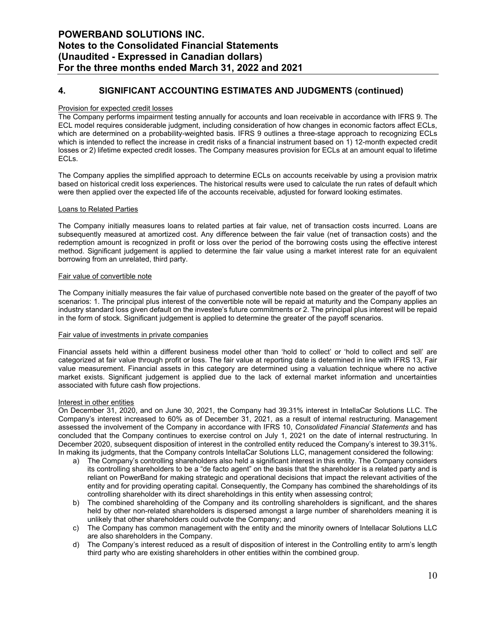## **4. SIGNIFICANT ACCOUNTING ESTIMATES AND JUDGMENTS (continued)**

#### Provision for expected credit losses

The Company performs impairment testing annually for accounts and loan receivable in accordance with IFRS 9. The ECL model requires considerable judgment, including consideration of how changes in economic factors affect ECLs, which are determined on a probability-weighted basis. IFRS 9 outlines a three-stage approach to recognizing ECLs which is intended to reflect the increase in credit risks of a financial instrument based on 1) 12-month expected credit losses or 2) lifetime expected credit losses. The Company measures provision for ECLs at an amount equal to lifetime ECLs.

The Company applies the simplified approach to determine ECLs on accounts receivable by using a provision matrix based on historical credit loss experiences. The historical results were used to calculate the run rates of default which were then applied over the expected life of the accounts receivable, adjusted for forward looking estimates.

#### Loans to Related Parties

The Company initially measures loans to related parties at fair value, net of transaction costs incurred. Loans are subsequently measured at amortized cost. Any difference between the fair value (net of transaction costs) and the redemption amount is recognized in profit or loss over the period of the borrowing costs using the effective interest method. Significant judgement is applied to determine the fair value using a market interest rate for an equivalent borrowing from an unrelated, third party.

#### Fair value of convertible note

The Company initially measures the fair value of purchased convertible note based on the greater of the payoff of two scenarios: 1. The principal plus interest of the convertible note will be repaid at maturity and the Company applies an industry standard loss given default on the investee's future commitments or 2. The principal plus interest will be repaid in the form of stock. Significant judgement is applied to determine the greater of the payoff scenarios.

#### Fair value of investments in private companies

Financial assets held within a different business model other than 'hold to collect' or 'hold to collect and sell' are categorized at fair value through profit or loss. The fair value at reporting date is determined in line with IFRS 13, Fair value measurement. Financial assets in this category are determined using a valuation technique where no active market exists. Significant judgement is applied due to the lack of external market information and uncertainties associated with future cash flow projections.

#### Interest in other entities

On December 31, 2020, and on June 30, 2021, the Company had 39.31% interest in IntellaCar Solutions LLC. The Company's interest increased to 60% as of December 31, 2021, as a result of internal restructuring. Management assessed the involvement of the Company in accordance with IFRS 10, *Consolidated Financial Statements* and has concluded that the Company continues to exercise control on July 1, 2021 on the date of internal restructuring. In December 2020, subsequent disposition of interest in the controlled entity reduced the Company's interest to 39.31%. In making its judgments, that the Company controls IntellaCar Solutions LLC, management considered the following:

- a) The Company's controlling shareholders also held a significant interest in this entity. The Company considers its controlling shareholders to be a "de facto agent" on the basis that the shareholder is a related party and is reliant on PowerBand for making strategic and operational decisions that impact the relevant activities of the entity and for providing operating capital. Consequently, the Company has combined the shareholdings of its controlling shareholder with its direct shareholdings in this entity when assessing control;
- b) The combined shareholding of the Company and its controlling shareholders is significant, and the shares held by other non-related shareholders is dispersed amongst a large number of shareholders meaning it is unlikely that other shareholders could outvote the Company; and
- c) The Company has common management with the entity and the minority owners of Intellacar Solutions LLC are also shareholders in the Company.
- d) The Company's interest reduced as a result of disposition of interest in the Controlling entity to arm's length third party who are existing shareholders in other entities within the combined group.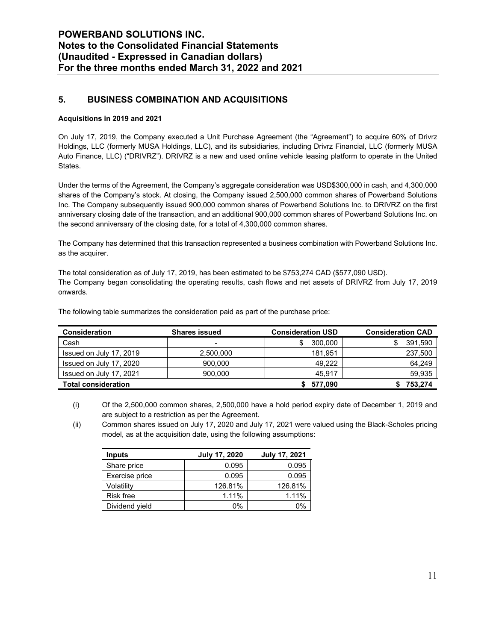## **5. BUSINESS COMBINATION AND ACQUISITIONS**

#### **Acquisitions in 2019 and 2021**

On July 17, 2019, the Company executed a Unit Purchase Agreement (the "Agreement") to acquire 60% of Drivrz Holdings, LLC (formerly MUSA Holdings, LLC), and its subsidiaries, including Drivrz Financial, LLC (formerly MUSA Auto Finance, LLC) ("DRIVRZ"). DRIVRZ is a new and used online vehicle leasing platform to operate in the United States.

Under the terms of the Agreement, the Company's aggregate consideration was USD\$300,000 in cash, and 4,300,000 shares of the Company's stock. At closing, the Company issued 2,500,000 common shares of Powerband Solutions Inc. The Company subsequently issued 900,000 common shares of Powerband Solutions Inc. to DRIVRZ on the first anniversary closing date of the transaction, and an additional 900,000 common shares of Powerband Solutions Inc. on the second anniversary of the closing date, for a total of 4,300,000 common shares.

The Company has determined that this transaction represented a business combination with Powerband Solutions Inc. as the acquirer.

The total consideration as of July 17, 2019, has been estimated to be \$753,274 CAD (\$577,090 USD). The Company began consolidating the operating results, cash flows and net assets of DRIVRZ from July 17, 2019 onwards.

| <b>Consideration</b>       | <b>Shares issued</b>     | <b>Consideration USD</b> | <b>Consideration CAD</b> |
|----------------------------|--------------------------|--------------------------|--------------------------|
| Cash                       | $\overline{\phantom{a}}$ | 300.000                  | 391,590                  |
| Issued on July 17, 2019    | 2,500,000                | 181.951                  | 237,500                  |
| Issued on July 17, 2020    | 900,000                  | 49.222                   | 64,249                   |
| Issued on July 17, 2021    | 900,000                  | 45.917                   | 59,935                   |
| <b>Total consideration</b> |                          | 577,090                  | 753,274                  |

The following table summarizes the consideration paid as part of the purchase price:

(i) Of the 2,500,000 common shares, 2,500,000 have a hold period expiry date of December 1, 2019 and are subject to a restriction as per the Agreement.

(ii) Common shares issued on July 17, 2020 and July 17, 2021 were valued using the Black-Scholes pricing model, as at the acquisition date, using the following assumptions:

| <b>Inputs</b>    | <b>July 17, 2020</b> | <b>July 17, 2021</b> |
|------------------|----------------------|----------------------|
| Share price      | 0.095                | 0.095                |
| Exercise price   | 0.095                | 0.095                |
| Volatility       | 126.81%              | 126.81%              |
| <b>Risk free</b> | 1.11%                | 1.11%                |
| Dividend yield   | 0%                   | 0%                   |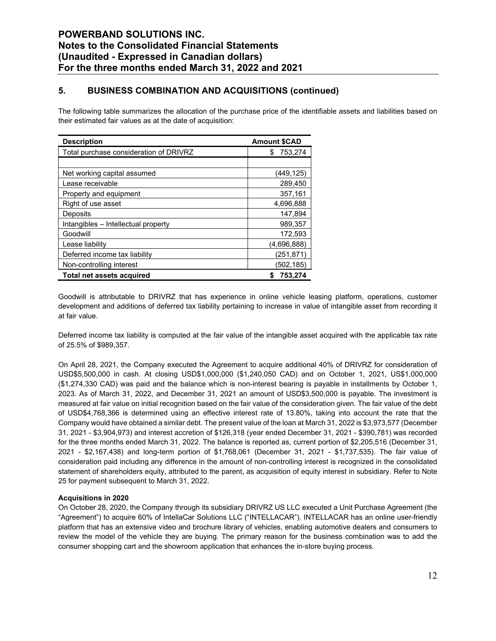## **5. BUSINESS COMBINATION AND ACQUISITIONS (continued)**

The following table summarizes the allocation of the purchase price of the identifiable assets and liabilities based on their estimated fair values as at the date of acquisition:

| <b>Description</b>                     | <b>Amount \$CAD</b> |
|----------------------------------------|---------------------|
| Total purchase consideration of DRIVRZ | 753,274<br>S        |
|                                        |                     |
| Net working capital assumed            | (449,125)           |
| Lease receivable                       | 289.450             |
| Property and equipment                 | 357,161             |
| Right of use asset                     | 4,696,888           |
| Deposits                               | 147.894             |
| Intangibles - Intellectual property    | 989,357             |
| Goodwill                               | 172.593             |
| Lease liability                        | (4,696,888)         |
| Deferred income tax liability          | (251,871)           |
| Non-controlling interest               | (502,185)           |
| Total net assets acquired              | 753,274             |

Goodwill is attributable to DRIVRZ that has experience in online vehicle leasing platform, operations, customer development and additions of deferred tax liability pertaining to increase in value of intangible asset from recording it at fair value.

Deferred income tax liability is computed at the fair value of the intangible asset acquired with the applicable tax rate of 25.5% of \$989,357.

On April 28, 2021, the Company executed the Agreement to acquire additional 40% of DRIVRZ for consideration of USD\$5,500,000 in cash. At closing USD\$1,000,000 (\$1,240,050 CAD) and on October 1, 2021, US\$1,000,000 (\$1,274,330 CAD) was paid and the balance which is non-interest bearing is payable in installments by October 1, 2023. As of March 31, 2022, and December 31, 2021 an amount of USD\$3,500,000 is payable. The investment is measured at fair value on initial recognition based on the fair value of the consideration given. The fair value of the debt of USD\$4,768,366 is determined using an effective interest rate of 13.80%, taking into account the rate that the Company would have obtained a similar debt. The present value of the loan at March 31, 2022 is \$3,973,577 (December 31, 2021 - \$3,904,973) and interest accretion of \$126,318 (year ended December 31, 2021 - \$390,781) was recorded for the three months ended March 31, 2022. The balance is reported as, current portion of \$2,205,516 (December 31, 2021 - \$2,167,438) and long-term portion of \$1,768,061 (December 31, 2021 - \$1,737,535). The fair value of consideration paid including any difference in the amount of non-controlling interest is recognized in the consolidated statement of shareholders equity, attributed to the parent, as acquisition of equity interest in subsidiary. Refer to Note 25 for payment subsequent to March 31, 2022.

#### **Acquisitions in 2020**

On October 28, 2020, the Company through its subsidiary DRIVRZ US LLC executed a Unit Purchase Agreement (the "Agreement") to acquire 60% of IntellaCar Solutions LLC ("INTELLACAR"). INTELLACAR has an online user-friendly platform that has an extensive video and brochure library of vehicles, enabling automotive dealers and consumers to review the model of the vehicle they are buying. The primary reason for the business combination was to add the consumer shopping cart and the showroom application that enhances the in-store buying process.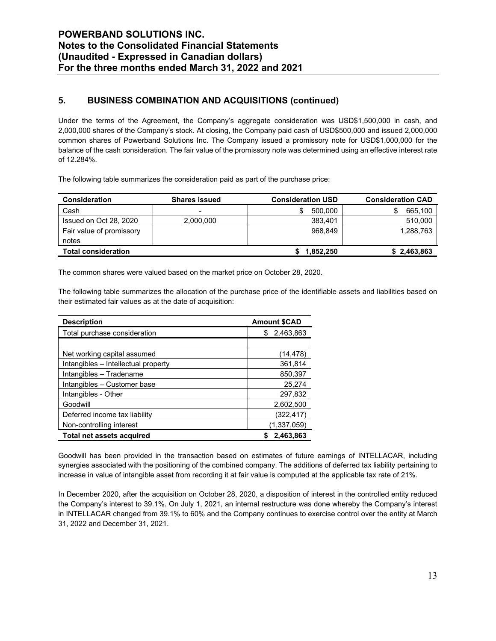## **5. BUSINESS COMBINATION AND ACQUISITIONS (continued)**

Under the terms of the Agreement, the Company's aggregate consideration was USD\$1,500,000 in cash, and 2,000,000 shares of the Company's stock. At closing, the Company paid cash of USD\$500,000 and issued 2,000,000 common shares of Powerband Solutions Inc. The Company issued a promissory note for USD\$1,000,000 for the balance of the cash consideration. The fair value of the promissory note was determined using an effective interest rate of 12.284%.

The following table summarizes the consideration paid as part of the purchase price:

| <b>Consideration</b>       | <b>Shares issued</b> | <b>Consideration USD</b> | <b>Consideration CAD</b> |
|----------------------------|----------------------|--------------------------|--------------------------|
| Cash                       | -                    | 500.000                  | 665,100                  |
| Issued on Oct 28, 2020     | 2.000.000            | 383.401                  | 510,000                  |
| Fair value of promissory   |                      | 968.849                  | 1,288,763                |
| notes                      |                      |                          |                          |
| <b>Total consideration</b> |                      | 1,852,250                | \$2,463,863              |

The common shares were valued based on the market price on October 28, 2020.

The following table summarizes the allocation of the purchase price of the identifiable assets and liabilities based on their estimated fair values as at the date of acquisition:

| <b>Description</b>                  | <b>Amount \$CAD</b> |
|-------------------------------------|---------------------|
| Total purchase consideration        | 2,463,863<br>S      |
|                                     |                     |
| Net working capital assumed         | (14, 478)           |
| Intangibles - Intellectual property | 361,814             |
| Intangibles - Tradename             | 850,397             |
| Intangibles - Customer base         | 25.274              |
| Intangibles - Other                 | 297.832             |
| Goodwill                            | 2,602,500           |
| Deferred income tax liability       | (322,417)           |
| Non-controlling interest            | (1,337,059)         |
| Total net assets acquired           | 2,463,863           |

Goodwill has been provided in the transaction based on estimates of future earnings of INTELLACAR, including synergies associated with the positioning of the combined company. The additions of deferred tax liability pertaining to increase in value of intangible asset from recording it at fair value is computed at the applicable tax rate of 21%.

In December 2020, after the acquisition on October 28, 2020, a disposition of interest in the controlled entity reduced the Company's interest to 39.1%. On July 1, 2021, an internal restructure was done whereby the Company's interest in INTELLACAR changed from 39.1% to 60% and the Company continues to exercise control over the entity at March 31, 2022 and December 31, 2021.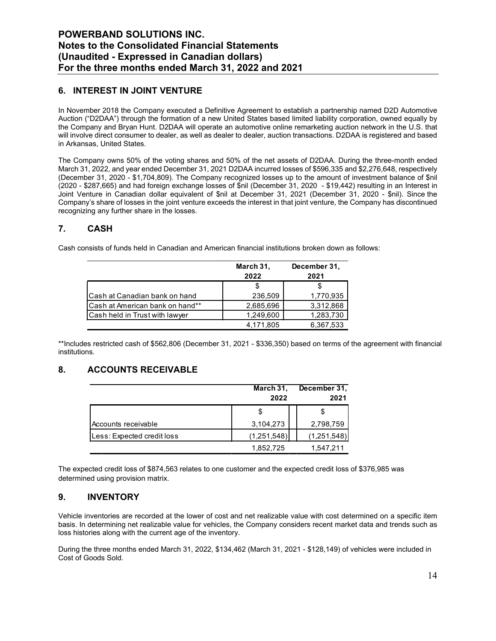## **POWERBAND SOLUTIONS INC. Notes to the Consolidated Financial Statements (Unaudited - Expressed in Canadian dollars) For the three months ended March 31, 2022 and 2021**

## **6. INTEREST IN JOINT VENTURE**

In November 2018 the Company executed a Definitive Agreement to establish a partnership named D2D Automotive Auction ("D2DAA") through the formation of a new United States based limited liability corporation, owned equally by the Company and Bryan Hunt. D2DAA will operate an automotive online remarketing auction network in the U.S. that will involve direct consumer to dealer, as well as dealer to dealer, auction transactions. D2DAA is registered and based in Arkansas, United States.

The Company owns 50% of the voting shares and 50% of the net assets of D2DAA. During the three-month ended March 31, 2022, and year ended December 31, 2021 D2DAA incurred losses of \$596,335 and \$2,276,648, respectively (December 31, 2020 - \$1,704,809). The Company recognized losses up to the amount of investment balance of \$nil (2020 - \$287,665) and had foreign exchange losses of \$nil (December 31, 2020 - \$19,442) resulting in an Interest in Joint Venture in Canadian dollar equivalent of \$nil at December 31, 2021 (December 31, 2020 - \$nil). Since the Company's share of losses in the joint venture exceeds the interest in that joint venture, the Company has discontinued recognizing any further share in the losses.

## **7. CASH**

Cash consists of funds held in Canadian and American financial institutions broken down as follows:

|                                        | March 31, | December 31, |
|----------------------------------------|-----------|--------------|
|                                        | 2022      | 2021         |
|                                        | S         |              |
| <b>I</b> Cash at Canadian bank on hand | 236,509   | 1,770,935    |
| ICash at American bank on hand**       | 2,685,696 | 3,312,868    |
| Cash held in Trust with lawyer         | 1,249,600 | 1,283,730    |
|                                        | 4.171.805 | 6,367,533    |

\*\*Includes restricted cash of \$562,806 (December 31, 2021 - \$336,350) based on terms of the agreement with financial institutions.

## **8. ACCOUNTS RECEIVABLE**

|                            | March 31,<br>2022 | December 31,<br>2021 |
|----------------------------|-------------------|----------------------|
|                            |                   |                      |
| Accounts receivable        | 3,104,273         | 2,798,759            |
| Less: Expected credit loss | (1,251,548)       | (1,251,548)          |
|                            | 1,852,725         | 1.547.211            |

The expected credit loss of \$874,563 relates to one customer and the expected credit loss of \$376,985 was determined using provision matrix.

## **9. INVENTORY**

Vehicle inventories are recorded at the lower of cost and net realizable value with cost determined on a specific item basis. In determining net realizable value for vehicles, the Company considers recent market data and trends such as loss histories along with the current age of the inventory.

During the three months ended March 31, 2022, \$134,462 (March 31, 2021 - \$128,149) of vehicles were included in Cost of Goods Sold.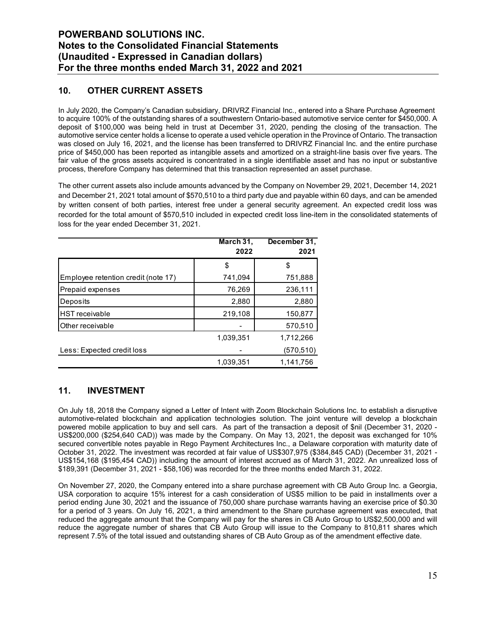## **POWERBAND SOLUTIONS INC. Notes to the Consolidated Financial Statements (Unaudited - Expressed in Canadian dollars) For the three months ended March 31, 2022 and 2021**

## **10. OTHER CURRENT ASSETS**

In July 2020, the Company's Canadian subsidiary, DRIVRZ Financial Inc., entered into a Share Purchase Agreement to acquire 100% of the outstanding shares of a southwestern Ontario-based automotive service center for \$450,000. A deposit of \$100,000 was being held in trust at December 31, 2020, pending the closing of the transaction. The automotive service center holds a license to operate a used vehicle operation in the Province of Ontario. The transaction was closed on July 16, 2021, and the license has been transferred to DRIVRZ Financial Inc. and the entire purchase price of \$450,000 has been reported as intangible assets and amortized on a straight-line basis over five years. The fair value of the gross assets acquired is concentrated in a single identifiable asset and has no input or substantive process, therefore Company has determined that this transaction represented an asset purchase.

The other current assets also include amounts advanced by the Company on November 29, 2021, December 14, 2021 and December 21, 2021 total amount of \$570,510 to a third party due and payable within 60 days, and can be amended by written consent of both parties, interest free under a general security agreement. An expected credit loss was recorded for the total amount of \$570,510 included in expected credit loss line-item in the consolidated statements of loss for the year ended December 31, 2021.

|                                     | March 31,<br>2022 | December 31,<br>2021 |
|-------------------------------------|-------------------|----------------------|
|                                     | \$                | \$                   |
| Employee retention credit (note 17) | 741,094           | 751,888              |
| Prepaid expenses                    | 76,269            | 236,111              |
| Deposits                            | 2,880             | 2,880                |
| <b>HST</b> receivable               | 219,108           | 150,877              |
| Other receivable                    |                   | 570,510              |
|                                     | 1,039,351         | 1,712,266            |
| Less: Expected credit loss          |                   | (570, 510)           |
|                                     | 1,039,351         | 1,141,756            |

## **11. INVESTMENT**

On July 18, 2018 the Company signed a Letter of Intent with Zoom Blockchain Solutions Inc. to establish a disruptive automotive-related blockchain and application technologies solution. The joint venture will develop a blockchain powered mobile application to buy and sell cars. As part of the transaction a deposit of \$nil (December 31, 2020 - US\$200,000 (\$254,640 CAD)) was made by the Company. On May 13, 2021, the deposit was exchanged for 10% secured convertible notes payable in Rego Payment Architectures Inc., a Delaware corporation with maturity date of October 31, 2022. The investment was recorded at fair value of US\$307,975 (\$384,845 CAD) (December 31, 2021 - US\$154,168 (\$195,454 CAD)) including the amount of interest accrued as of March 31, 2022. An unrealized loss of \$189,391 (December 31, 2021 - \$58,106) was recorded for the three months ended March 31, 2022.

On November 27, 2020, the Company entered into a share purchase agreement with CB Auto Group Inc. a Georgia, USA corporation to acquire 15% interest for a cash consideration of US\$5 million to be paid in installments over a period ending June 30, 2021 and the issuance of 750,000 share purchase warrants having an exercise price of \$0.30 for a period of 3 years. On July 16, 2021, a third amendment to the Share purchase agreement was executed, that reduced the aggregate amount that the Company will pay for the shares in CB Auto Group to US\$2,500,000 and will reduce the aggregate number of shares that CB Auto Group will issue to the Company to 810,811 shares which represent 7.5% of the total issued and outstanding shares of CB Auto Group as of the amendment effective date.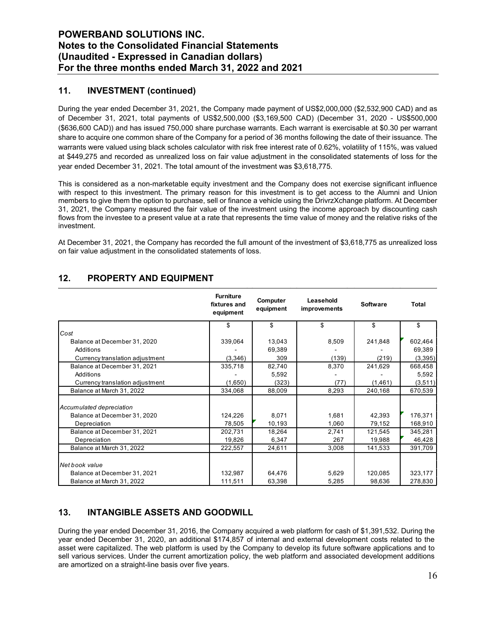## **11. INVESTMENT (continued)**

During the year ended December 31, 2021, the Company made payment of US\$2,000,000 (\$2,532,900 CAD) and as of December 31, 2021, total payments of US\$2,500,000 (\$3,169,500 CAD) (December 31, 2020 - US\$500,000 (\$636,600 CAD)) and has issued 750,000 share purchase warrants. Each warrant is exercisable at \$0.30 per warrant share to acquire one common share of the Company for a period of 36 months following the date of their issuance. The warrants were valued using black scholes calculator with risk free interest rate of 0.62%, volatility of 115%, was valued at \$449,275 and recorded as unrealized loss on fair value adjustment in the consolidated statements of loss for the year ended December 31, 2021. The total amount of the investment was \$3,618,775.

This is considered as a non-marketable equity investment and the Company does not exercise significant influence with respect to this investment. The primary reason for this investment is to get access to the Alumni and Union members to give them the option to purchase, sell or finance a vehicle using the DrivrzXchange platform. At December 31, 2021, the Company measured the fair value of the investment using the income approach by discounting cash flows from the investee to a present value at a rate that represents the time value of money and the relative risks of the investment.

At December 31, 2021, the Company has recorded the full amount of the investment of \$3,618,775 as unrealized loss on fair value adjustment in the consolidated statements of loss.

|                                 | <b>Furniture</b><br>fixtures and<br>equipment | Computer<br>equipment | Leasehold<br>improvements | <b>Software</b> | Total    |
|---------------------------------|-----------------------------------------------|-----------------------|---------------------------|-----------------|----------|
|                                 | \$                                            | \$                    | \$                        | \$              | \$       |
| Cost                            |                                               |                       |                           |                 |          |
| Balance at December 31, 2020    | 339,064                                       | 13,043                | 8,509                     | 241,848         | 602,464  |
| Additions                       |                                               | 69,389                |                           |                 | 69,389   |
| Currency translation adjustment | (3,346)                                       | 309                   | (139)                     | (219)           | (3,395)  |
| Balance at December 31, 2021    | 335,718                                       | 82,740                | 8,370                     | 241,629         | 668,458  |
| Additions                       |                                               | 5,592                 |                           |                 | 5,592    |
| Currency translation adjustment | (1,650)                                       | (323)                 | (77)                      | (1,461)         | (3, 511) |
| Balance at March 31, 2022       | 334,068                                       | 88,009                | 8,293                     | 240,168         | 670,539  |
| Accumulated depreciation        |                                               |                       |                           |                 |          |
| Balance at December 31, 2020    | 124,226                                       | 8.071                 | 1,681                     | 42,393          | 176,371  |
| Depreciation                    | 78,505                                        | 10,193                | 1,060                     | 79,152          | 168,910  |
| Balance at December 31, 2021    | 202,731                                       | 18,264                | 2,741                     | 121,545         | 345,281  |
| Depreciation                    | 19,826                                        | 6,347                 | 267                       | 19,988          | 46,428   |
| Balance at March 31, 2022       | 222,557                                       | 24,611                | 3,008                     | 141,533         | 391,709  |
| Net book value                  |                                               |                       |                           |                 |          |
| Balance at December 31, 2021    | 132,987                                       | 64,476                | 5,629                     | 120,085         | 323,177  |
| Balance at March 31, 2022       | 111,511                                       | 63,398                | 5,285                     | 98,636          | 278,830  |

## **12. PROPERTY AND EQUIPMENT**

## **13. INTANGIBLE ASSETS AND GOODWILL**

During the year ended December 31, 2016, the Company acquired a web platform for cash of \$1,391,532. During the year ended December 31, 2020, an additional \$174,857 of internal and external development costs related to the asset were capitalized. The web platform is used by the Company to develop its future software applications and to sell various services. Under the current amortization policy, the web platform and associated development additions are amortized on a straight-line basis over five years.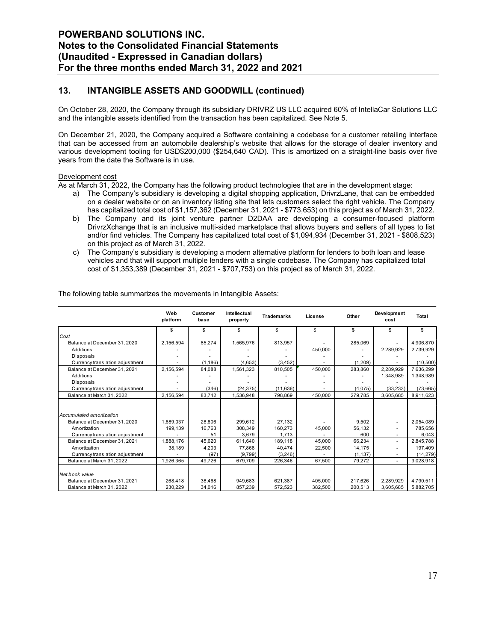## **13. INTANGIBLE ASSETS AND GOODWILL (continued)**

On October 28, 2020, the Company through its subsidiary DRIVRZ US LLC acquired 60% of IntellaCar Solutions LLC and the intangible assets identified from the transaction has been capitalized. See Note 5.

On December 21, 2020, the Company acquired a Software containing a codebase for a customer retailing interface that can be accessed from an automobile dealership's website that allows for the storage of dealer inventory and various development tooling for USD\$200,000 (\$254,640 CAD). This is amortized on a straight-line basis over five years from the date the Software is in use.

#### Development cost

As at March 31, 2022, the Company has the following product technologies that are in the development stage:

- a) The Company's subsidiary is developing a digital shopping application, DrivrzLane, that can be embedded on a dealer website or on an inventory listing site that lets customers select the right vehicle. The Company has capitalized total cost of \$1,157,362 (December 31, 2021 - \$773,653) on this project as of March 31, 2022. b) The Company and its joint venture partner D2DAA are developing a consumer-focused platform
- DrivrzXchange that is an inclusive multi-sided marketplace that allows buyers and sellers of all types to list and/or find vehicles. The Company has capitalized total cost of \$1,094,934 (December 31, 2021 - \$808,523) on this project as of March 31, 2022.
- c) The Company's subsidiary is developing a modern alternative platform for lenders to both loan and lease vehicles and that will support multiple lenders with a single codebase. The Company has capitalized total cost of \$1,353,389 (December 31, 2021 - \$707,753) on this project as of March 31, 2022.

|                                                | Web<br>platform | Customer<br>base | <b>Intellectual</b><br>property | <b>Trademarks</b> | License | Other    | Development<br>cost | Total     |
|------------------------------------------------|-----------------|------------------|---------------------------------|-------------------|---------|----------|---------------------|-----------|
|                                                | \$              | \$               | \$.                             | \$                | \$      | \$       | \$                  | \$        |
| Cost                                           |                 |                  |                                 |                   |         |          |                     |           |
| Balance at December 31, 2020                   | 2,156,594       | 85,274           | 1,565,976                       | 813,957           |         | 285,069  |                     | 4,906,870 |
| Additions                                      |                 |                  |                                 |                   | 450,000 |          | 2,289,929           | 2,739,929 |
| Disposals                                      |                 |                  |                                 |                   |         |          |                     |           |
| Currency translation adjustment                |                 | (1, 186)         | (4.653)                         | (3, 452)          |         | (1.209)  |                     | (10,500)  |
| Balance at December 31, 2021                   | 2,156,594       | 84,088           | 1,561,323                       | 810,505           | 450,000 | 283,860  | 2,289,929           | 7,636,299 |
| Additions                                      |                 |                  |                                 |                   |         |          | 1,348,989           | 1,348,989 |
| <b>Disposals</b>                               |                 |                  |                                 |                   |         |          |                     |           |
| Currency translation adjustment                |                 | (346)            | (24, 375)                       | (11, 636)         |         | (4,075)  | (33.233)            | (73, 665) |
| Balance at March 31, 2022                      | 2,156,594       | 83,742           | 1,536,948                       | 798,869           | 450,000 | 279,785  | 3,605,685           | 8,911,623 |
| Accumulated amortization                       |                 |                  |                                 |                   |         |          |                     |           |
| Balance at December 31, 2020                   | 1.689.037       | 28.806           | 299.612                         | 27,132            |         | 9,502    |                     | 2,054,089 |
| Amortization                                   | 199,139         | 16,763           | 308,349                         | 160,273           | 45,000  | 56,132   |                     | 785,656   |
| Currency translation adjustment                |                 | 51               | 3,679                           | 1,713             |         | 600      |                     | 6,043     |
| Balance at December 31, 2021                   | 1,888,176       | 45.620           | 611.640                         | 189,118           | 45.000  | 66,234   |                     | 2,845,788 |
| Amortization                                   | 38.189          | 4,203            | 77,868                          | 40,474            | 22,500  | 14,175   |                     | 197,409   |
| Currency translation adjustment                |                 | (97)             | (9.799)                         | (3,246)           |         | (1, 137) |                     | (14, 279) |
| Balance at March 31, 2022                      | 1,926,365       | 49,726           | 679,709                         | 226,346           | 67,500  | 79,272   | ä.                  | 3,028,918 |
| Net book value<br>Balance at December 31, 2021 | 268.418         | 38.468           | 949.683                         | 621,387           | 405.000 | 217.626  | 2.289.929           | 4,790,511 |
| Balance at March 31, 2022                      | 230.229         | 34,016           | 857,239                         | 572.523           | 382.500 | 200.513  | 3.605.685           | 5,882,705 |

The following table summarizes the movements in Intangible Assets: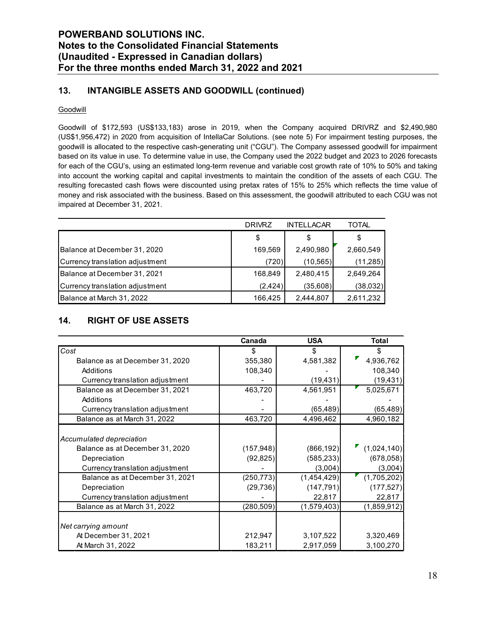## **13. INTANGIBLE ASSETS AND GOODWILL (continued)**

#### Goodwill

Goodwill of \$172,593 (US\$133,183) arose in 2019, when the Company acquired DRIVRZ and \$2,490,980 (US\$1,956,472) in 2020 from acquisition of IntellaCar Solutions. (see note 5) For impairment testing purposes, the goodwill is allocated to the respective cash-generating unit ("CGU"). The Company assessed goodwill for impairment based on its value in use. To determine value in use, the Company used the 2022 budget and 2023 to 2026 forecasts for each of the CGU's, using an estimated long-term revenue and variable cost growth rate of 10% to 50% and taking into account the working capital and capital investments to maintain the condition of the assets of each CGU. The resulting forecasted cash flows were discounted using pretax rates of 15% to 25% which reflects the time value of money and risk associated with the business. Based on this assessment, the goodwill attributed to each CGU was not impaired at December 31, 2021.

|                                 | <b>DRIVRZ</b> | <b>INTELLACAR</b> | TOTAL     |
|---------------------------------|---------------|-------------------|-----------|
|                                 | \$            | S                 | S         |
| Balance at December 31, 2020    | 169,569       | 2,490,980         | 2,660,549 |
| Currency translation adjustment | (720)         | (10, 565)         | (11, 285) |
| Balance at December 31, 2021    | 168,849       | 2,480,415         | 2,649,264 |
| Currency translation adjustment | (2, 424)      | (35,608)          | (38, 032) |
| Balance at March 31, 2022       | 166,425       | 2,444,807         | 2,611,232 |

## **14. RIGHT OF USE ASSETS**

|                                 | Canada     | <b>USA</b>  | <b>Total</b> |
|---------------------------------|------------|-------------|--------------|
| Cost                            | \$         | \$          |              |
| Balance as at December 31, 2020 | 355,380    | 4,581,382   | 4,936,762    |
| Additions                       | 108,340    |             | 108,340      |
| Currency translation adjustment |            | (19, 431)   | (19, 431)    |
| Balance as at December 31, 2021 | 463,720    | 4,561,951   | 5,025,671    |
| Additions                       |            |             |              |
| Currency translation adjustment |            | (65, 489)   | (65, 489)    |
| Balance as at March 31, 2022    | 463,720    | 4,496,462   | 4,960,182    |
|                                 |            |             |              |
| Accumulated depreciation        |            |             |              |
| Balance as at December 31, 2020 | (157, 948) | (866, 192)  | (1,024,140)  |
| Depreciation                    | (92, 825)  | (585, 233)  | (678,058)    |
| Currency translation adjustment |            | (3,004)     | (3,004)      |
| Balance as at December 31, 2021 | (250, 773) | (1,454,429) | (1,705,202)  |
| Depreciation                    | (29, 736)  | (147, 791)  | (177, 527)   |
| Currency translation adjustment |            | 22,817      | 22,817       |
| Balance as at March 31, 2022    | (280,509)  | (1,579,403) | (1,859,912)  |
|                                 |            |             |              |
| Net carrying amount             |            |             |              |
| At December 31, 2021            | 212,947    | 3,107,522   | 3,320,469    |
| At March 31, 2022               | 183,211    | 2,917,059   | 3,100,270    |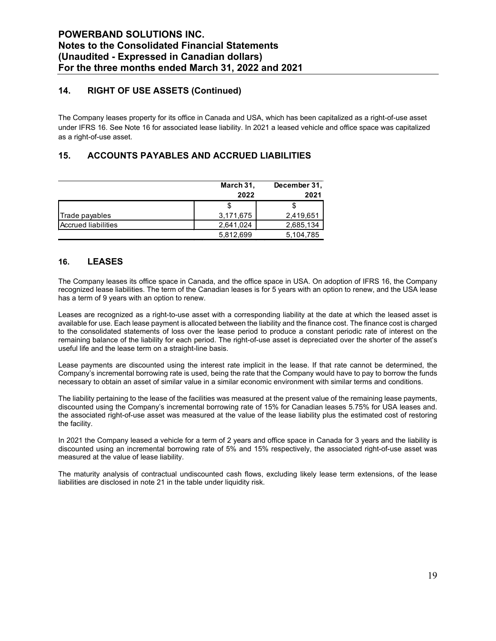## **14. RIGHT OF USE ASSETS (Continued)**

The Company leases property for its office in Canada and USA, which has been capitalized as a right-of-use asset under IFRS 16. See Note 16 for associated lease liability. In 2021 a leased vehicle and office space was capitalized as a right-of-use asset.

## **15. ACCOUNTS PAYABLES AND ACCRUED LIABILITIES**

|                       | March 31, | December 31, |
|-----------------------|-----------|--------------|
|                       | 2022      | 2021         |
|                       |           |              |
| Trade payables        | 3,171,675 | 2,419,651    |
| l Accrued Iiabilities | 2,641,024 | 2,685,134    |
|                       | 5,812,699 | 5,104,785    |

## **16. LEASES**

The Company leases its office space in Canada, and the office space in USA. On adoption of IFRS 16, the Company recognized lease liabilities. The term of the Canadian leases is for 5 years with an option to renew, and the USA lease has a term of 9 years with an option to renew.

Leases are recognized as a right-to-use asset with a corresponding liability at the date at which the leased asset is available for use. Each lease payment is allocated between the liability and the finance cost. The finance cost is charged to the consolidated statements of loss over the lease period to produce a constant periodic rate of interest on the remaining balance of the liability for each period. The right-of-use asset is depreciated over the shorter of the asset's useful life and the lease term on a straight-line basis.

Lease payments are discounted using the interest rate implicit in the lease. If that rate cannot be determined, the Company's incremental borrowing rate is used, being the rate that the Company would have to pay to borrow the funds necessary to obtain an asset of similar value in a similar economic environment with similar terms and conditions.

The liability pertaining to the lease of the facilities was measured at the present value of the remaining lease payments, discounted using the Company's incremental borrowing rate of 15% for Canadian leases 5.75% for USA leases and. the associated right-of-use asset was measured at the value of the lease liability plus the estimated cost of restoring the facility.

In 2021 the Company leased a vehicle for a term of 2 years and office space in Canada for 3 years and the liability is discounted using an incremental borrowing rate of 5% and 15% respectively, the associated right-of-use asset was measured at the value of lease liability.

The maturity analysis of contractual undiscounted cash flows, excluding likely lease term extensions, of the lease liabilities are disclosed in note 21 in the table under liquidity risk.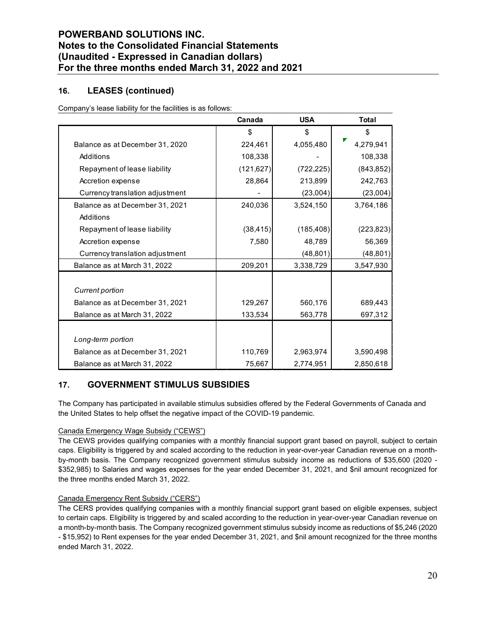## **POWERBAND SOLUTIONS INC. Notes to the Consolidated Financial Statements (Unaudited - Expressed in Canadian dollars) For the three months ended March 31, 2022 and 2021**

## **16. LEASES (continued)**

Company's lease liability for the facilities is as follows:

|                                 | Canada     | <b>USA</b> | <b>Total</b> |
|---------------------------------|------------|------------|--------------|
|                                 | \$         | \$         | \$           |
| Balance as at December 31, 2020 | 224,461    | 4,055,480  | 4,279,941    |
| Additions                       | 108,338    |            | 108,338      |
| Repayment of lease liability    | (121, 627) | (722, 225) | (843, 852)   |
| Accretion expense               | 28,864     | 213,899    | 242,763      |
| Currency translation adjustment |            | (23,004)   | (23,004)     |
| Balance as at December 31, 2021 | 240,036    | 3,524,150  | 3,764,186    |
| Additions                       |            |            |              |
| Repayment of lease liability    | (38, 415)  | (185, 408) | (223, 823)   |
| Accretion expense               | 7,580      | 48,789     | 56,369       |
| Currency translation adjustment |            | (48, 801)  | (48, 801)    |
| Balance as at March 31, 2022    | 209,201    | 3,338,729  | 3,547,930    |
|                                 |            |            |              |
| <b>Current portion</b>          |            |            |              |
| Balance as at December 31, 2021 | 129,267    | 560,176    | 689,443      |
| Balance as at March 31, 2022    | 133,534    | 563,778    | 697,312      |
|                                 |            |            |              |
| Long-term portion               |            |            |              |
| Balance as at December 31, 2021 | 110,769    | 2,963,974  | 3,590,498    |
| Balance as at March 31, 2022    | 75,667     | 2,774,951  | 2,850,618    |

## **17. GOVERNMENT STIMULUS SUBSIDIES**

The Company has participated in available stimulus subsidies offered by the Federal Governments of Canada and the United States to help offset the negative impact of the COVID-19 pandemic.

#### Canada Emergency Wage Subsidy ("CEWS")

The CEWS provides qualifying companies with a monthly financial support grant based on payroll, subject to certain caps. Eligibility is triggered by and scaled according to the reduction in year-over-year Canadian revenue on a monthby-month basis. The Company recognized government stimulus subsidy income as reductions of \$35,600 (2020 - \$352,985) to Salaries and wages expenses for the year ended December 31, 2021, and \$nil amount recognized for the three months ended March 31, 2022.

#### Canada Emergency Rent Subsidy ("CERS")

The CERS provides qualifying companies with a monthly financial support grant based on eligible expenses, subject to certain caps. Eligibility is triggered by and scaled according to the reduction in year-over-year Canadian revenue on a month-by-month basis. The Company recognized government stimulus subsidy income as reductions of \$5,246 (2020 - \$15,952) to Rent expenses for the year ended December 31, 2021, and \$nil amount recognized for the three months ended March 31, 2022.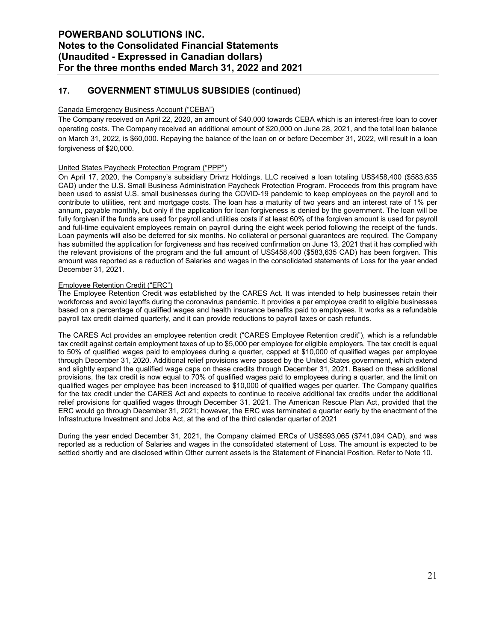## **17. GOVERNMENT STIMULUS SUBSIDIES (continued)**

#### Canada Emergency Business Account ("CEBA")

The Company received on April 22, 2020, an amount of \$40,000 towards CEBA which is an interest-free loan to cover operating costs. The Company received an additional amount of \$20,000 on June 28, 2021, and the total loan balance on March 31, 2022, is \$60,000. Repaying the balance of the loan on or before December 31, 2022, will result in a loan forgiveness of \$20,000.

#### United States Paycheck Protection Program ("PPP")

On April 17, 2020, the Company's subsidiary Drivrz Holdings, LLC received a loan totaling US\$458,400 (\$583,635 CAD) under the U.S. Small Business Administration Paycheck Protection Program. Proceeds from this program have been used to assist U.S. small businesses during the COVID-19 pandemic to keep employees on the payroll and to contribute to utilities, rent and mortgage costs. The loan has a maturity of two years and an interest rate of 1% per annum, payable monthly, but only if the application for loan forgiveness is denied by the government. The loan will be fully forgiven if the funds are used for payroll and utilities costs if at least 60% of the forgiven amount is used for payroll and full-time equivalent employees remain on payroll during the eight week period following the receipt of the funds. Loan payments will also be deferred for six months. No collateral or personal guarantees are required. The Company has submitted the application for forgiveness and has received confirmation on June 13, 2021 that it has complied with the relevant provisions of the program and the full amount of US\$458,400 (\$583,635 CAD) has been forgiven. This amount was reported as a reduction of Salaries and wages in the consolidated statements of Loss for the year ended December 31, 2021.

#### Employee Retention Credit ("ERC")

The Employee Retention Credit was established by the CARES Act. It was intended to help businesses retain their workforces and avoid layoffs during the coronavirus pandemic. It provides a per employee credit to eligible businesses based on a percentage of qualified wages and health insurance benefits paid to employees. It works as a refundable payroll tax credit claimed quarterly, and it can provide reductions to payroll taxes or cash refunds.

The CARES Act provides an employee retention credit ("CARES Employee Retention credit"), which is a refundable tax credit against certain employment taxes of up to \$5,000 per employee for eligible employers. The tax credit is equal to 50% of qualified wages paid to employees during a quarter, capped at \$10,000 of qualified wages per employee through December 31, 2020. Additional relief provisions were passed by the United States government, which extend and slightly expand the qualified wage caps on these credits through December 31, 2021. Based on these additional provisions, the tax credit is now equal to 70% of qualified wages paid to employees during a quarter, and the limit on qualified wages per employee has been increased to \$10,000 of qualified wages per quarter. The Company qualifies for the tax credit under the CARES Act and expects to continue to receive additional tax credits under the additional relief provisions for qualified wages through December 31, 2021. The American Rescue Plan Act, provided that the ERC would go through December 31, 2021; however, the ERC was terminated a quarter early by the enactment of the Infrastructure Investment and Jobs Act, at the end of the third calendar quarter of 2021

During the year ended December 31, 2021, the Company claimed ERCs of US\$593,065 (\$741,094 CAD), and was reported as a reduction of Salaries and wages in the consolidated statement of Loss. The amount is expected to be settled shortly and are disclosed within Other current assets is the Statement of Financial Position. Refer to Note 10.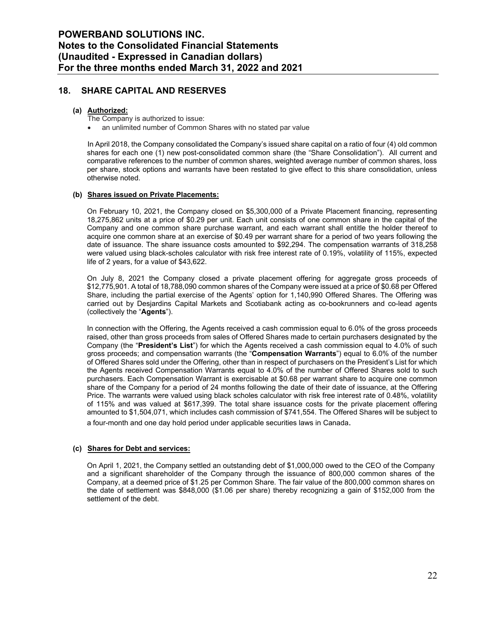#### **18. SHARE CAPITAL AND RESERVES**

#### **(a) Authorized:**

- The Company is authorized to issue:
- an unlimited number of Common Shares with no stated par value

In April 2018, the Company consolidated the Company's issued share capital on a ratio of four (4) old common shares for each one (1) new post-consolidated common share (the "Share Consolidation"). All current and comparative references to the number of common shares, weighted average number of common shares, loss per share, stock options and warrants have been restated to give effect to this share consolidation, unless otherwise noted.

#### **(b) Shares issued on Private Placements:**

On February 10, 2021, the Company closed on \$5,300,000 of a Private Placement financing, representing 18,275,862 units at a price of \$0.29 per unit. Each unit consists of one common share in the capital of the Company and one common share purchase warrant, and each warrant shall entitle the holder thereof to acquire one common share at an exercise of \$0.49 per warrant share for a period of two years following the date of issuance. The share issuance costs amounted to \$92,294. The compensation warrants of 318,258 were valued using black-scholes calculator with risk free interest rate of 0.19%, volatility of 115%, expected life of 2 years, for a value of \$43,622.

On July 8, 2021 the Company closed a private placement offering for aggregate gross proceeds of \$12,775,901. A total of 18,788,090 common shares of the Company were issued at a price of \$0.68 per Offered Share, including the partial exercise of the Agents' option for 1,140,990 Offered Shares. The Offering was carried out by Desjardins Capital Markets and Scotiabank acting as co-bookrunners and co-lead agents (collectively the "**Agents**").

In connection with the Offering, the Agents received a cash commission equal to 6.0% of the gross proceeds raised, other than gross proceeds from sales of Offered Shares made to certain purchasers designated by the Company (the "**President's List**") for which the Agents received a cash commission equal to 4.0% of such gross proceeds; and compensation warrants (the "**Compensation Warrants**") equal to 6.0% of the number of Offered Shares sold under the Offering, other than in respect of purchasers on the President's List for which the Agents received Compensation Warrants equal to 4.0% of the number of Offered Shares sold to such purchasers. Each Compensation Warrant is exercisable at \$0.68 per warrant share to acquire one common share of the Company for a period of 24 months following the date of their date of issuance, at the Offering Price. The warrants were valued using black scholes calculator with risk free interest rate of 0.48%, volatility of 115% and was valued at \$617,399. The total share issuance costs for the private placement offering amounted to \$1,504,071, which includes cash commission of \$741,554. The Offered Shares will be subject to a four-month and one day hold period under applicable securities laws in Canada.

#### **(c) Shares for Debt and services:**

On April 1, 2021, the Company settled an outstanding debt of \$1,000,000 owed to the CEO of the Company and a significant shareholder of the Company through the issuance of 800,000 common shares of the Company, at a deemed price of \$1.25 per Common Share. The fair value of the 800,000 common shares on the date of settlement was \$848,000 (\$1.06 per share) thereby recognizing a gain of \$152,000 from the settlement of the debt.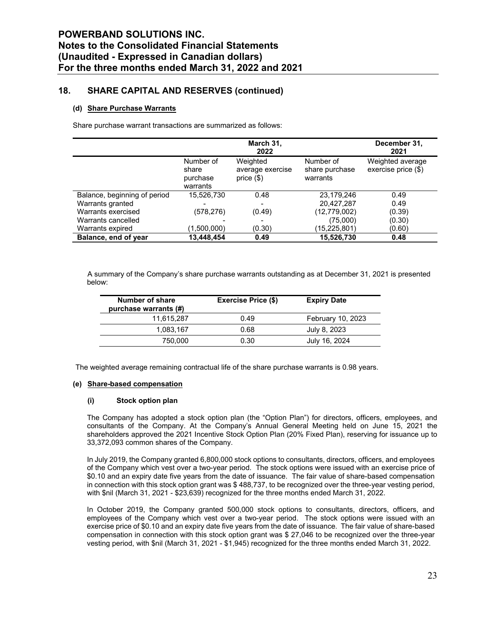#### **(d) Share Purchase Warrants**

Share purchase warrant transactions are summarized as follows:

|                              |                                            | December 31,<br>2021                         |                                         |                                         |
|------------------------------|--------------------------------------------|----------------------------------------------|-----------------------------------------|-----------------------------------------|
|                              | Number of<br>share<br>purchase<br>warrants | Weighted<br>average exercise<br>price $(\$)$ | Number of<br>share purchase<br>warrants | Weighted average<br>exercise price (\$) |
| Balance, beginning of period | 15,526,730                                 | 0.48                                         | 23,179,246                              | 0.49                                    |
| Warrants granted             |                                            | $\overline{a}$                               | 20,427,287                              | 0.49                                    |
| Warrants exercised           | (578,276)                                  | (0.49)                                       | (12,779,002)                            | (0.39)                                  |
| Warrants cancelled           |                                            | $\overline{\phantom{a}}$                     | (75,000)                                | (0.30)                                  |
| Warrants expired             | (1,500,000)                                | (0.30)                                       | (15,225,801)                            | (0.60)                                  |
| Balance, end of year         | 13,448,454                                 | 0.49                                         | 15,526,730                              | 0.48                                    |

A summary of the Company's share purchase warrants outstanding as at December 31, 2021 is presented below:

| Number of share<br>purchase warrants (#) | <b>Exercise Price (\$)</b> | <b>Expiry Date</b>       |
|------------------------------------------|----------------------------|--------------------------|
| 11.615.287                               | 0.49                       | <b>February 10, 2023</b> |
| 1.083.167                                | 0.68                       | July 8, 2023             |
| 750,000                                  | 0.30                       | July 16, 2024            |

The weighted average remaining contractual life of the share purchase warrants is 0.98 years.

#### **(e) Share-based compensation**

#### **(i) Stock option plan**

The Company has adopted a stock option plan (the "Option Plan") for directors, officers, employees, and consultants of the Company. At the Company's Annual General Meeting held on June 15, 2021 the shareholders approved the 2021 Incentive Stock Option Plan (20% Fixed Plan), reserving for issuance up to 33,372,093 common shares of the Company.

In July 2019, the Company granted 6,800,000 stock options to consultants, directors, officers, and employees of the Company which vest over a two-year period. The stock options were issued with an exercise price of \$0.10 and an expiry date five years from the date of issuance. The fair value of share-based compensation in connection with this stock option grant was \$ 488,737, to be recognized over the three-year vesting period, with \$nil (March 31, 2021 - \$23,639) recognized for the three months ended March 31, 2022.

In October 2019, the Company granted 500,000 stock options to consultants, directors, officers, and employees of the Company which vest over a two-year period. The stock options were issued with an exercise price of \$0.10 and an expiry date five years from the date of issuance. The fair value of share-based compensation in connection with this stock option grant was \$ 27,046 to be recognized over the three-year vesting period, with \$nil (March 31, 2021 - \$1,945) recognized for the three months ended March 31, 2022.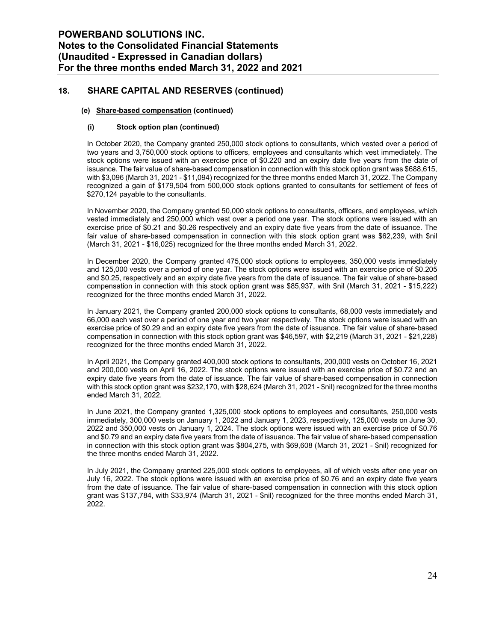#### **(e) Share-based compensation (continued)**

#### **(i) Stock option plan (continued)**

In October 2020, the Company granted 250,000 stock options to consultants, which vested over a period of two years and 3,750,000 stock options to officers, employees and consultants which vest immediately. The stock options were issued with an exercise price of \$0.220 and an expiry date five years from the date of issuance. The fair value of share-based compensation in connection with this stock option grant was \$688,615, with \$3,096 (March 31, 2021 - \$11,094) recognized for the three months ended March 31, 2022. The Company recognized a gain of \$179,504 from 500,000 stock options granted to consultants for settlement of fees of \$270,124 payable to the consultants.

In November 2020, the Company granted 50,000 stock options to consultants, officers, and employees, which vested immediately and 250,000 which vest over a period one year. The stock options were issued with an exercise price of \$0.21 and \$0.26 respectively and an expiry date five years from the date of issuance. The fair value of share-based compensation in connection with this stock option grant was \$62,239, with \$nil (March 31, 2021 - \$16,025) recognized for the three months ended March 31, 2022.

In December 2020, the Company granted 475,000 stock options to employees, 350,000 vests immediately and 125,000 vests over a period of one year. The stock options were issued with an exercise price of \$0.205 and \$0.25, respectively and an expiry date five years from the date of issuance. The fair value of share-based compensation in connection with this stock option grant was \$85,937, with \$nil (March 31, 2021 - \$15,222) recognized for the three months ended March 31, 2022.

In January 2021, the Company granted 200,000 stock options to consultants, 68,000 vests immediately and 66,000 each vest over a period of one year and two year respectively. The stock options were issued with an exercise price of \$0.29 and an expiry date five years from the date of issuance. The fair value of share-based compensation in connection with this stock option grant was \$46,597, with \$2,219 (March 31, 2021 - \$21,228) recognized for the three months ended March 31, 2022.

In April 2021, the Company granted 400,000 stock options to consultants, 200,000 vests on October 16, 2021 and 200,000 vests on April 16, 2022. The stock options were issued with an exercise price of \$0.72 and an expiry date five years from the date of issuance. The fair value of share-based compensation in connection with this stock option grant was \$232,170, with \$28,624 (March 31, 2021 - \$nil) recognized for the three months ended March 31, 2022.

In June 2021, the Company granted 1,325,000 stock options to employees and consultants, 250,000 vests immediately, 300,000 vests on January 1, 2022 and January 1, 2023, respectively, 125,000 vests on June 30, 2022 and 350,000 vests on January 1, 2024. The stock options were issued with an exercise price of \$0.76 and \$0.79 and an expiry date five years from the date of issuance. The fair value of share-based compensation in connection with this stock option grant was \$804,275, with \$69,608 (March 31, 2021 - \$nil) recognized for the three months ended March 31, 2022.

In July 2021, the Company granted 225,000 stock options to employees, all of which vests after one year on July 16, 2022. The stock options were issued with an exercise price of \$0.76 and an expiry date five years from the date of issuance. The fair value of share-based compensation in connection with this stock option grant was \$137,784, with \$33,974 (March 31, 2021 - \$nil) recognized for the three months ended March 31, 2022.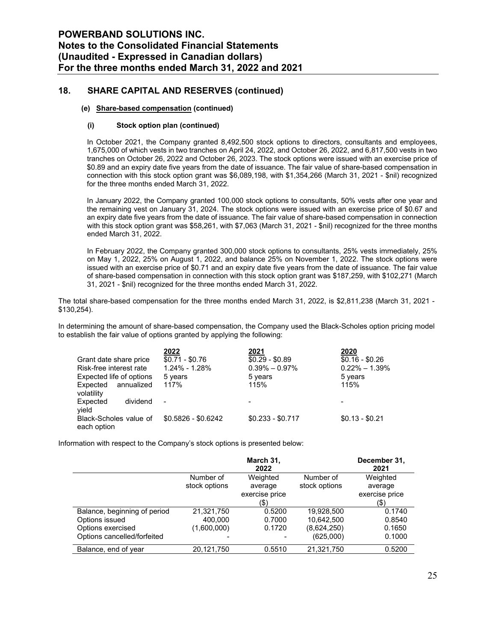#### **(e) Share-based compensation (continued)**

#### **(i) Stock option plan (continued)**

In October 2021, the Company granted 8,492,500 stock options to directors, consultants and employees, 1,675,000 of which vests in two tranches on April 24, 2022, and October 26, 2022, and 6,817,500 vests in two tranches on October 26, 2022 and October 26, 2023. The stock options were issued with an exercise price of \$0.89 and an expiry date five years from the date of issuance. The fair value of share-based compensation in connection with this stock option grant was \$6,089,198, with \$1,354,266 (March 31, 2021 - \$nil) recognized for the three months ended March 31, 2022.

In January 2022, the Company granted 100,000 stock options to consultants, 50% vests after one year and the remaining vest on January 31, 2024. The stock options were issued with an exercise price of \$0.67 and an expiry date five years from the date of issuance. The fair value of share-based compensation in connection with this stock option grant was \$58,261, with \$7,063 (March 31, 2021 - \$nil) recognized for the three months ended March 31, 2022.

In February 2022, the Company granted 300,000 stock options to consultants, 25% vests immediately, 25% on May 1, 2022, 25% on August 1, 2022, and balance 25% on November 1, 2022. The stock options were issued with an exercise price of \$0.71 and an expiry date five years from the date of issuance. The fair value of share-based compensation in connection with this stock option grant was \$187,259, with \$102,271 (March 31, 2021 - \$nil) recognized for the three months ended March 31, 2022.

The total share-based compensation for the three months ended March 31, 2022, is \$2,811,238 (March 31, 2021 - \$130,254).

In determining the amount of share-based compensation, the Company used the Black-Scholes option pricing model to establish the fair value of options granted by applying the following:

|                          | 2022                     | 2021              | 2020              |
|--------------------------|--------------------------|-------------------|-------------------|
| Grant date share price   | $$0.71 - $0.76$          | $$0.29 - $0.89$   | $$0.16 - $0.26$   |
| Risk-free interest rate  | 1.24% - 1.28%            | $0.39\% - 0.97\%$ | $0.22\% - 1.39\%$ |
| Expected life of options | 5 years                  | 5 years           | 5 years           |
| Expected<br>annualized   | 117%                     | 115%              | 115%              |
| volatility               |                          |                   |                   |
| Expected<br>dividend     | $\overline{\phantom{a}}$ |                   |                   |
| yield                    |                          |                   |                   |
| Black-Scholes value of   | $$0.5826 - $0.6242$      | $$0.233 - $0.717$ | $$0.13 - $0.21$   |
| each option              |                          |                   |                   |

Information with respect to the Company's stock options is presented below:

|                              |               | March 31,<br>2022 |               | December 31,<br>2021 |
|------------------------------|---------------|-------------------|---------------|----------------------|
|                              | Number of     | Weighted          | Number of     | Weighted             |
|                              | stock options | average           | stock options | average              |
|                              |               | exercise price    |               | exercise price       |
|                              |               | (\$)              |               | (\$)                 |
| Balance, beginning of period | 21,321,750    | 0.5200            | 19.928.500    | 0.1740               |
| Options issued               | 400.000       | 0.7000            | 10,642,500    | 0.8540               |
| Options exercised            | (1,600,000)   | 0.1720            | (8,624,250)   | 0.1650               |
| Options cancelled/forfeited  |               |                   | (625,000)     | 0.1000               |
| Balance, end of year         | 20,121,750    | 0.5510            | 21.321.750    | 0.5200               |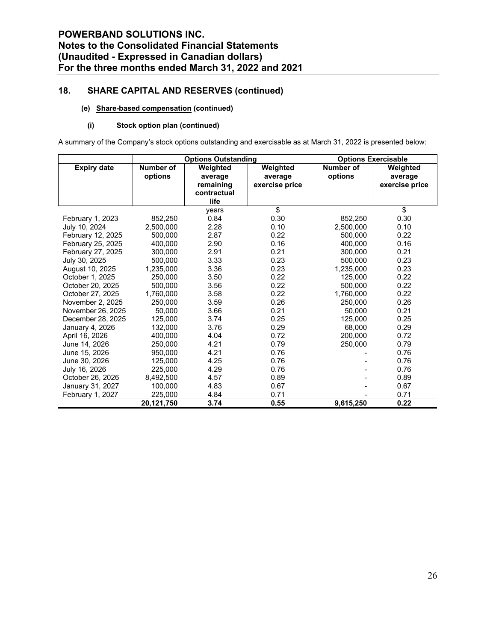#### **(e) Share-based compensation (continued)**

#### **(i) Stock option plan (continued)**

A summary of the Company's stock options outstanding and exercisable as at March 31, 2022 is presented below:

|                    |                      | <b>Options Outstanding</b>                              |                                       |                      | <b>Options Exercisable</b>            |
|--------------------|----------------------|---------------------------------------------------------|---------------------------------------|----------------------|---------------------------------------|
| <b>Expiry date</b> | Number of<br>options | Weighted<br>average<br>remaining<br>contractual<br>life | Weighted<br>average<br>exercise price | Number of<br>options | Weighted<br>average<br>exercise price |
|                    |                      | years                                                   | \$                                    |                      | \$                                    |
| February 1, 2023   | 852.250              | 0.84                                                    | 0.30                                  | 852.250              | 0.30                                  |
| July 10, 2024      | 2,500,000            | 2.28                                                    | 0.10                                  | 2,500,000            | 0.10                                  |
| February 12, 2025  | 500.000              | 2.87                                                    | 0.22                                  | 500.000              | 0.22                                  |
| February 25, 2025  | 400,000              | 2.90                                                    | 0.16                                  | 400,000              | 0.16                                  |
| February 27, 2025  | 300,000              | 2.91                                                    | 0.21                                  | 300,000              | 0.21                                  |
| July 30, 2025      | 500,000              | 3.33                                                    | 0.23                                  | 500,000              | 0.23                                  |
| August 10, 2025    | 1,235,000            | 3.36                                                    | 0.23                                  | 1,235,000            | 0.23                                  |
| October 1, 2025    | 250.000              | 3.50                                                    | 0.22                                  | 125.000              | 0.22                                  |
| October 20, 2025   | 500,000              | 3.56                                                    | 0.22                                  | 500,000              | 0.22                                  |
| October 27, 2025   | 1,760,000            | 3.58                                                    | 0.22                                  | 1,760,000            | 0.22                                  |
| November 2, 2025   | 250.000              | 3.59                                                    | 0.26                                  | 250,000              | 0.26                                  |
| November 26, 2025  | 50.000               | 3.66                                                    | 0.21                                  | 50.000               | 0.21                                  |
| December 28, 2025  | 125,000              | 3.74                                                    | 0.25                                  | 125,000              | 0.25                                  |
| January 4, 2026    | 132,000              | 3.76                                                    | 0.29                                  | 68,000               | 0.29                                  |
| April 16, 2026     | 400,000              | 4.04                                                    | 0.72                                  | 200,000              | 0.72                                  |
| June 14, 2026      | 250.000              | 4.21                                                    | 0.79                                  | 250,000              | 0.79                                  |
| June 15, 2026      | 950,000              | 4.21                                                    | 0.76                                  |                      | 0.76                                  |
| June 30, 2026      | 125,000              | 4.25                                                    | 0.76                                  |                      | 0.76                                  |
| July 16, 2026      | 225,000              | 4.29                                                    | 0.76                                  |                      | 0.76                                  |
| October 26, 2026   | 8,492,500            | 4.57                                                    | 0.89                                  |                      | 0.89                                  |
| January 31, 2027   | 100,000              | 4.83                                                    | 0.67                                  |                      | 0.67                                  |
| February 1, 2027   | 225,000              | 4.84                                                    | 0.71                                  |                      | 0.71                                  |
|                    | 20,121,750           | 3.74                                                    | 0.55                                  | 9,615,250            | 0.22                                  |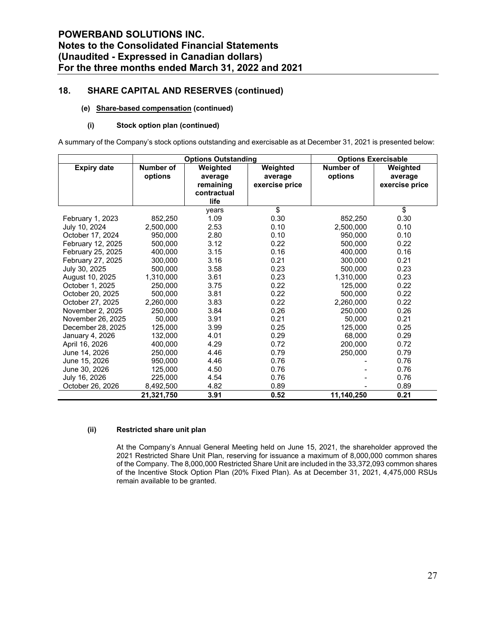#### **(e) Share-based compensation (continued)**

#### **(i) Stock option plan (continued)**

A summary of the Company's stock options outstanding and exercisable as at December 31, 2021 is presented below:

|                    |                      | <b>Options Outstanding</b>                      | <b>Options Exercisable</b>            |                      |                                       |  |
|--------------------|----------------------|-------------------------------------------------|---------------------------------------|----------------------|---------------------------------------|--|
| <b>Expiry date</b> | Number of<br>options | Weighted<br>average<br>remaining<br>contractual | Weighted<br>average<br>exercise price | Number of<br>options | Weighted<br>average<br>exercise price |  |
|                    |                      | life                                            |                                       |                      |                                       |  |
|                    |                      | years                                           | $\overline{\mathbf{S}}$               |                      | $\overline{\mathbf{S}}$               |  |
| February 1, 2023   | 852,250              | 1.09                                            | 0.30                                  | 852,250              | 0.30                                  |  |
| July 10, 2024      | 2,500,000            | 2.53                                            | 0.10                                  | 2,500,000            | 0.10                                  |  |
| October 17, 2024   | 950.000              | 2.80                                            | 0.10                                  | 950,000              | 0.10                                  |  |
| February 12, 2025  | 500,000              | 3.12                                            | 0.22                                  | 500,000              | 0.22                                  |  |
| February 25, 2025  | 400,000              | 3.15                                            | 0.16                                  | 400,000              | 0.16                                  |  |
| February 27, 2025  | 300.000              | 3.16                                            | 0.21                                  | 300,000              | 0.21                                  |  |
| July 30, 2025      | 500,000              | 3.58                                            | 0.23                                  | 500,000              | 0.23                                  |  |
| August 10, 2025    | 1,310,000            | 3.61                                            | 0.23                                  | 1,310,000            | 0.23                                  |  |
| October 1, 2025    | 250.000              | 3.75                                            | 0.22                                  | 125,000              | 0.22                                  |  |
| October 20, 2025   | 500,000              | 3.81                                            | 0.22                                  | 500,000              | 0.22                                  |  |
| October 27, 2025   | 2,260,000            | 3.83                                            | 0.22                                  | 2,260,000            | 0.22                                  |  |
| November 2, 2025   | 250,000              | 3.84                                            | 0.26                                  | 250,000              | 0.26                                  |  |
| November 26, 2025  | 50,000               | 3.91                                            | 0.21                                  | 50,000               | 0.21                                  |  |
| December 28, 2025  | 125,000              | 3.99                                            | 0.25                                  | 125,000              | 0.25                                  |  |
| January 4, 2026    | 132,000              | 4.01                                            | 0.29                                  | 68,000               | 0.29                                  |  |
| April 16, 2026     | 400.000              | 4.29                                            | 0.72                                  | 200,000              | 0.72                                  |  |
| June 14, 2026      | 250,000              | 4.46                                            | 0.79                                  | 250,000              | 0.79                                  |  |
| June 15, 2026      | 950,000              | 4.46                                            | 0.76                                  |                      | 0.76                                  |  |
| June 30, 2026      | 125,000              | 4.50                                            | 0.76                                  |                      | 0.76                                  |  |
| July 16, 2026      | 225,000              | 4.54                                            | 0.76                                  |                      | 0.76                                  |  |
| October 26, 2026   | 8,492,500            | 4.82                                            | 0.89                                  |                      | 0.89                                  |  |
|                    | 21,321,750           | 3.91                                            | 0.52                                  | 11,140,250           | 0.21                                  |  |

#### **(ii) Restricted share unit plan**

At the Company's Annual General Meeting held on June 15, 2021, the shareholder approved the 2021 Restricted Share Unit Plan, reserving for issuance a maximum of 8,000,000 common shares of the Company. The 8,000,000 Restricted Share Unit are included in the 33,372,093 common shares of the Incentive Stock Option Plan (20% Fixed Plan). As at December 31, 2021, 4,475,000 RSUs remain available to be granted.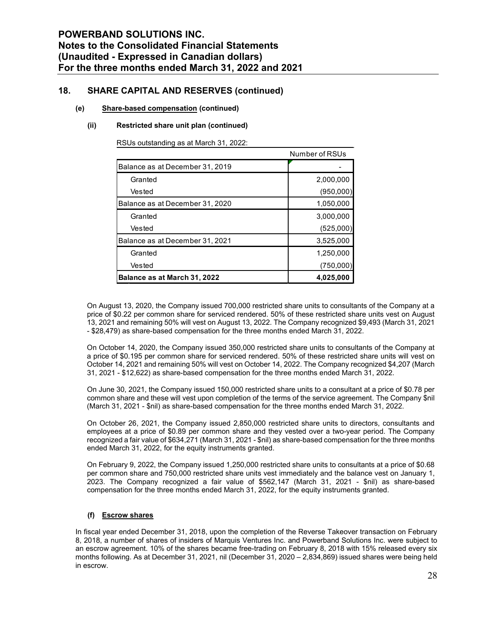#### **(e) Share-based compensation (continued)**

#### **(ii) Restricted share unit plan (continued)**

RSUs outstanding as at March 31, 2022:

|                                 | Number of RSUs |
|---------------------------------|----------------|
| Balance as at December 31, 2019 |                |
| Granted                         | 2,000,000      |
| Vested                          | (950,000)      |
| Balance as at December 31, 2020 | 1,050,000      |
| Granted                         | 3,000,000      |
| Vested                          | (525,000)      |
| Balance as at December 31, 2021 | 3,525,000      |
| Granted                         | 1,250,000      |
| Vested                          | (750,000)      |
| Balance as at March 31, 2022    | 4,025,000      |

On August 13, 2020, the Company issued 700,000 restricted share units to consultants of the Company at a price of \$0.22 per common share for serviced rendered. 50% of these restricted share units vest on August 13, 2021 and remaining 50% will vest on August 13, 2022. The Company recognized \$9,493 (March 31, 2021 - \$28,479) as share-based compensation for the three months ended March 31, 2022.

On October 14, 2020, the Company issued 350,000 restricted share units to consultants of the Company at a price of \$0.195 per common share for serviced rendered. 50% of these restricted share units will vest on October 14, 2021 and remaining 50% will vest on October 14, 2022. The Company recognized \$4,207 (March 31, 2021 - \$12,622) as share-based compensation for the three months ended March 31, 2022.

On June 30, 2021, the Company issued 150,000 restricted share units to a consultant at a price of \$0.78 per common share and these will vest upon completion of the terms of the service agreement. The Company \$nil (March 31, 2021 - \$nil) as share-based compensation for the three months ended March 31, 2022.

On October 26, 2021, the Company issued 2,850,000 restricted share units to directors, consultants and employees at a price of \$0.89 per common share and they vested over a two-year period. The Company recognized a fair value of \$634,271 (March 31, 2021 - \$nil) as share-based compensation for the three months ended March 31, 2022, for the equity instruments granted.

On February 9, 2022, the Company issued 1,250,000 restricted share units to consultants at a price of \$0.68 per common share and 750,000 restricted share units vest immediately and the balance vest on January 1, 2023. The Company recognized a fair value of \$562,147 (March 31, 2021 - \$nil) as share-based compensation for the three months ended March 31, 2022, for the equity instruments granted.

#### **(f) Escrow shares**

In fiscal year ended December 31, 2018, upon the completion of the Reverse Takeover transaction on February 8, 2018, a number of shares of insiders of Marquis Ventures Inc. and Powerband Solutions Inc. were subject to an escrow agreement. 10% of the shares became free-trading on February 8, 2018 with 15% released every six months following. As at December 31, 2021, nil (December 31, 2020 – 2,834,869) issued shares were being held in escrow.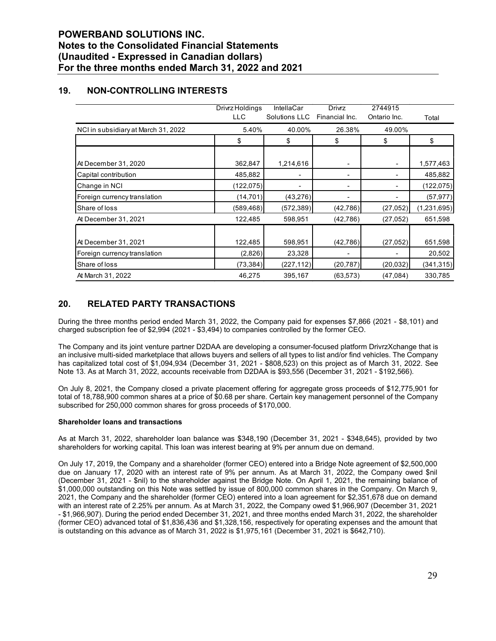## **POWERBAND SOLUTIONS INC. Notes to the Consolidated Financial Statements (Unaudited - Expressed in Canadian dollars) For the three months ended March 31, 2022 and 2021**

## **19. NON-CONTROLLING INTERESTS**

|                                     | Drivrz Holdings<br>LLC. | <b>IntellaCar</b><br>Solutions LLC | <b>Drivrz</b><br>Financial Inc. | 2744915<br>Ontario Inc. | Total         |
|-------------------------------------|-------------------------|------------------------------------|---------------------------------|-------------------------|---------------|
| NCI in subsidiary at March 31, 2022 | 5.40%                   | 40.00%                             | 26.38%                          | 49.00%                  |               |
|                                     | \$                      | \$                                 | \$                              | \$                      | \$            |
|                                     |                         |                                    |                                 |                         |               |
| At December 31, 2020                | 362,847                 | 1,214,616                          |                                 |                         | 1,577,463     |
| Capital contribution                | 485,882                 | ٠                                  | ٠                               |                         | 485,882       |
| Change in NCI                       | (122, 075)              | ٠                                  | ٠                               |                         | (122, 075)    |
| Foreign currency translation        | (14, 701)               | (43, 276)                          |                                 |                         | (57, 977)     |
| Share of loss                       | (589,468)               | (572, 389)                         | (42, 786)                       | (27, 052)               | (1, 231, 695) |
| At December 31, 2021                | 122,485                 | 598,951                            | (42, 786)                       | (27, 052)               | 651,598       |
|                                     |                         |                                    |                                 |                         |               |
| At December 31, 2021                | 122,485                 | 598,951                            | (42, 786)                       | (27, 052)               | 651,598       |
| Foreign currency translation        | (2,826)                 | 23,328                             |                                 |                         | 20,502        |
| Share of loss                       | (73, 384)               | (227, 112)                         | (20, 787)                       | (20, 032)               | (341, 315)    |
| At March 31, 2022                   | 46,275                  | 395,167                            | (63, 573)                       | (47, 084)               | 330,785       |

## **20. RELATED PARTY TRANSACTIONS**

During the three months period ended March 31, 2022, the Company paid for expenses \$7,866 (2021 - \$8,101) and charged subscription fee of \$2,994 (2021 - \$3,494) to companies controlled by the former CEO.

The Company and its joint venture partner D2DAA are developing a consumer-focused platform DrivrzXchange that is an inclusive multi-sided marketplace that allows buyers and sellers of all types to list and/or find vehicles. The Company has capitalized total cost of \$1,094,934 (December 31, 2021 - \$808,523) on this project as of March 31, 2022. See Note 13. As at March 31, 2022, accounts receivable from D2DAA is \$93,556 (December 31, 2021 - \$192,566).

On July 8, 2021, the Company closed a private placement offering for aggregate gross proceeds of \$12,775,901 for total of 18,788,900 common shares at a price of \$0.68 per share. Certain key management personnel of the Company subscribed for 250,000 common shares for gross proceeds of \$170,000.

#### **Shareholder loans and transactions**

As at March 31, 2022, shareholder loan balance was \$348,190 (December 31, 2021 - \$348,645), provided by two shareholders for working capital. This loan was interest bearing at 9% per annum due on demand.

On July 17, 2019, the Company and a shareholder (former CEO) entered into a Bridge Note agreement of \$2,500,000 due on January 17, 2020 with an interest rate of 9% per annum. As at March 31, 2022, the Company owed \$nil (December 31, 2021 - \$nil) to the shareholder against the Bridge Note. On April 1, 2021, the remaining balance of \$1,000,000 outstanding on this Note was settled by issue of 800,000 common shares in the Company. On March 9, 2021, the Company and the shareholder (former CEO) entered into a loan agreement for \$2,351,678 due on demand with an interest rate of 2.25% per annum. As at March 31, 2022, the Company owed \$1,966,907 (December 31, 2021 - \$1,966,907). During the period ended December 31, 2021, and three months ended March 31, 2022, the shareholder (former CEO) advanced total of \$1,836,436 and \$1,328,156, respectively for operating expenses and the amount that is outstanding on this advance as of March 31, 2022 is \$1,975,161 (December 31, 2021 is \$642,710).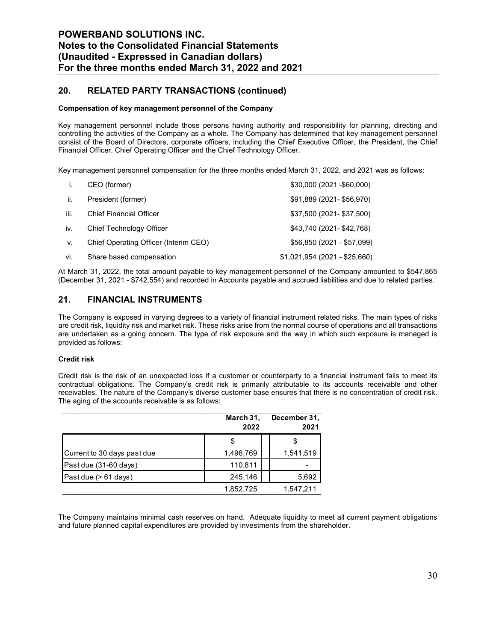## **20. RELATED PARTY TRANSACTIONS (continued)**

#### **Compensation of key management personnel of the Company**

Key management personnel include those persons having authority and responsibility for planning, directing and controlling the activities of the Company as a whole. The Company has determined that key management personnel consist of the Board of Directors, corporate officers, including the Chief Executive Officer, the President, the Chief Financial Officer, Chief Operating Officer and the Chief Technology Officer.

Key management personnel compensation for the three months ended March 31, 2022, and 2021 was as follows:

| \$91,889 (2021-\$56,970)<br>President (former)<br>ii.<br>iii.<br>\$37,500 (2021-\$37,500)<br><b>Chief Financial Officer</b><br>\$43,740 (2021- \$42,768)<br>iv.<br>Chief Technology Officer<br>Chief Operating Officer (Interim CEO)<br>V.<br>Share based compensation<br>vi. | i. | CEO (former) | \$30,000 (2021 - \$60,000)     |
|-------------------------------------------------------------------------------------------------------------------------------------------------------------------------------------------------------------------------------------------------------------------------------|----|--------------|--------------------------------|
|                                                                                                                                                                                                                                                                               |    |              |                                |
|                                                                                                                                                                                                                                                                               |    |              |                                |
|                                                                                                                                                                                                                                                                               |    |              |                                |
|                                                                                                                                                                                                                                                                               |    |              | \$56,850 (2021 - \$57,099)     |
|                                                                                                                                                                                                                                                                               |    |              | $$1,021,954$ (2021 - \$25,660) |

At March 31, 2022, the total amount payable to key management personnel of the Company amounted to \$547,865 (December 31, 2021 - \$742,554) and recorded in Accounts payable and accrued liabilities and due to related parties.

#### **21. FINANCIAL INSTRUMENTS**

The Company is exposed in varying degrees to a variety of financial instrument related risks. The main types of risks are credit risk, liquidity risk and market risk. These risks arise from the normal course of operations and all transactions are undertaken as a going concern. The type of risk exposure and the way in which such exposure is managed is provided as follows:

#### **Credit risk**

Credit risk is the risk of an unexpected loss if a customer or counterparty to a financial instrument fails to meet its contractual obligations. The Company's credit risk is primarily attributable to its accounts receivable and other receivables. The nature of the Company's diverse customer base ensures that there is no concentration of credit risk. The aging of the accounts receivable is as follows:

|                             | March 31,<br>2022 | December 31,<br>2021 |
|-----------------------------|-------------------|----------------------|
|                             | \$                |                      |
| Current to 30 days past due | 1,496,769         | 1,541,519            |
| Past due (31-60 days)       | 110,811           |                      |
| Past due (> 61 days)        | 245,146           | 5,692                |
|                             | 1,852,725         | 1,547,211            |

The Company maintains minimal cash reserves on hand. Adequate liquidity to meet all current payment obligations and future planned capital expenditures are provided by investments from the shareholder.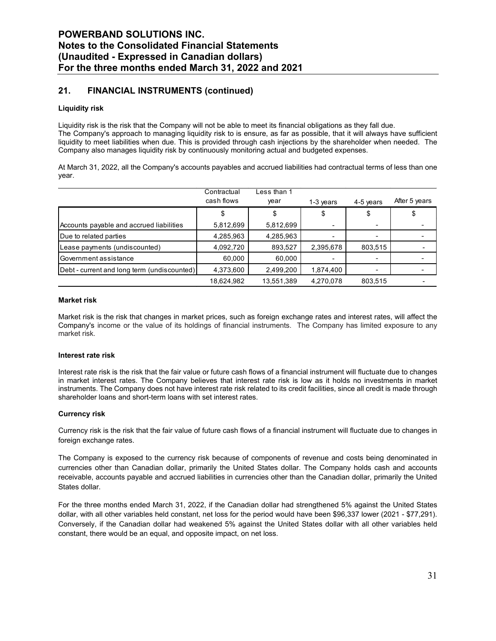## **21. FINANCIAL INSTRUMENTS (continued)**

#### **Liquidity risk**

Liquidity risk is the risk that the Company will not be able to meet its financial obligations as they fall due. The Company's approach to managing liquidity risk to is ensure, as far as possible, that it will always have sufficient liquidity to meet liabilities when due. This is provided through cash injections by the shareholder when needed. The Company also manages liquidity risk by continuously monitoring actual and budgeted expenses.

At March 31, 2022, all the Company's accounts payables and accrued liabilities had contractual terms of less than one year.

|                                             | Contractual | Less than 1 |                          |           |               |
|---------------------------------------------|-------------|-------------|--------------------------|-----------|---------------|
|                                             | cash flows  | year        | 1-3 years                | 4-5 years | After 5 years |
|                                             | \$          |             | \$                       |           | \$            |
| Accounts payable and accrued liabilities    | 5,812,699   | 5,812,699   |                          |           |               |
| Due to related parties                      | 4,285,963   | 4,285,963   | $\overline{\phantom{0}}$ |           |               |
| Lease payments (undiscounted)               | 4,092,720   | 893,527     | 2,395,678                | 803,515   |               |
| Government assistance                       | 60,000      | 60.000      | $\overline{\phantom{0}}$ |           |               |
| Debt - current and long term (undiscounted) | 4,373,600   | 2,499,200   | 1,874,400                |           |               |
|                                             | 18,624,982  | 13,551,389  | 4.270.078                | 803,515   |               |

#### **Market risk**

Market risk is the risk that changes in market prices, such as foreign exchange rates and interest rates, will affect the Company's income or the value of its holdings of financial instruments. The Company has limited exposure to any market risk.

#### **Interest rate risk**

Interest rate risk is the risk that the fair value or future cash flows of a financial instrument will fluctuate due to changes in market interest rates. The Company believes that interest rate risk is low as it holds no investments in market instruments. The Company does not have interest rate risk related to its credit facilities, since all credit is made through shareholder loans and short-term loans with set interest rates.

#### **Currency risk**

Currency risk is the risk that the fair value of future cash flows of a financial instrument will fluctuate due to changes in foreign exchange rates.

The Company is exposed to the currency risk because of components of revenue and costs being denominated in currencies other than Canadian dollar, primarily the United States dollar. The Company holds cash and accounts receivable, accounts payable and accrued liabilities in currencies other than the Canadian dollar, primarily the United States dollar.

For the three months ended March 31, 2022, if the Canadian dollar had strengthened 5% against the United States dollar, with all other variables held constant, net loss for the period would have been \$96,337 lower (2021 - \$77,291). Conversely, if the Canadian dollar had weakened 5% against the United States dollar with all other variables held constant, there would be an equal, and opposite impact, on net loss.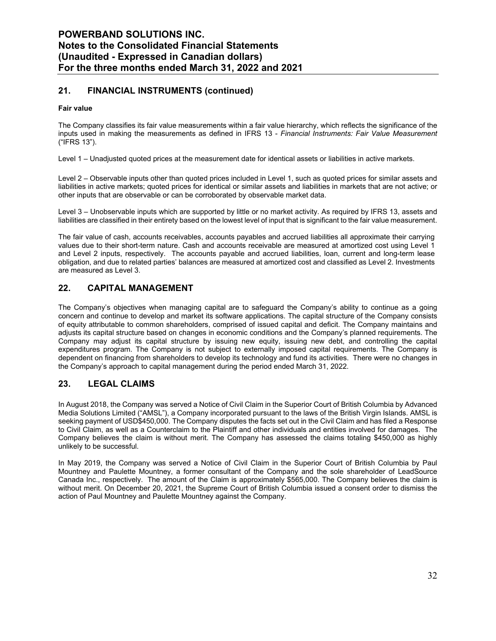## **POWERBAND SOLUTIONS INC. Notes to the Consolidated Financial Statements (Unaudited - Expressed in Canadian dollars) For the three months ended March 31, 2022 and 2021**

## **21. FINANCIAL INSTRUMENTS (continued)**

#### **Fair value**

The Company classifies its fair value measurements within a fair value hierarchy, which reflects the significance of the inputs used in making the measurements as defined in IFRS 13 - *Financial Instruments: Fair Value Measurement* ("IFRS 13").

Level 1 – Unadjusted quoted prices at the measurement date for identical assets or liabilities in active markets.

Level 2 – Observable inputs other than quoted prices included in Level 1, such as quoted prices for similar assets and liabilities in active markets; quoted prices for identical or similar assets and liabilities in markets that are not active; or other inputs that are observable or can be corroborated by observable market data.

Level 3 – Unobservable inputs which are supported by little or no market activity. As required by IFRS 13, assets and liabilities are classified in their entirety based on the lowest level of input that is significant to the fair value measurement.

The fair value of cash, accounts receivables, accounts payables and accrued liabilities all approximate their carrying values due to their short-term nature. Cash and accounts receivable are measured at amortized cost using Level 1 and Level 2 inputs, respectively. The accounts payable and accrued liabilities, loan, current and long-term lease obligation, and due to related parties' balances are measured at amortized cost and classified as Level 2. Investments are measured as Level 3.

## **22. CAPITAL MANAGEMENT**

The Company's objectives when managing capital are to safeguard the Company's ability to continue as a going concern and continue to develop and market its software applications. The capital structure of the Company consists of equity attributable to common shareholders, comprised of issued capital and deficit. The Company maintains and adjusts its capital structure based on changes in economic conditions and the Company's planned requirements. The Company may adjust its capital structure by issuing new equity, issuing new debt, and controlling the capital expenditures program. The Company is not subject to externally imposed capital requirements. The Company is dependent on financing from shareholders to develop its technology and fund its activities. There were no changes in the Company's approach to capital management during the period ended March 31, 2022.

#### **23. LEGAL CLAIMS**

In August 2018, the Company was served a Notice of Civil Claim in the Superior Court of British Columbia by Advanced Media Solutions Limited ("AMSL"), a Company incorporated pursuant to the laws of the British Virgin Islands. AMSL is seeking payment of USD\$450,000. The Company disputes the facts set out in the Civil Claim and has filed a Response to Civil Claim, as well as a Counterclaim to the Plaintiff and other individuals and entities involved for damages. The Company believes the claim is without merit. The Company has assessed the claims totaling \$450,000 as highly unlikely to be successful.

In May 2019, the Company was served a Notice of Civil Claim in the Superior Court of British Columbia by Paul Mountney and Paulette Mountney, a former consultant of the Company and the sole shareholder of LeadSource Canada Inc., respectively. The amount of the Claim is approximately \$565,000. The Company believes the claim is without merit. On December 20, 2021, the Supreme Court of British Columbia issued a consent order to dismiss the action of Paul Mountney and Paulette Mountney against the Company.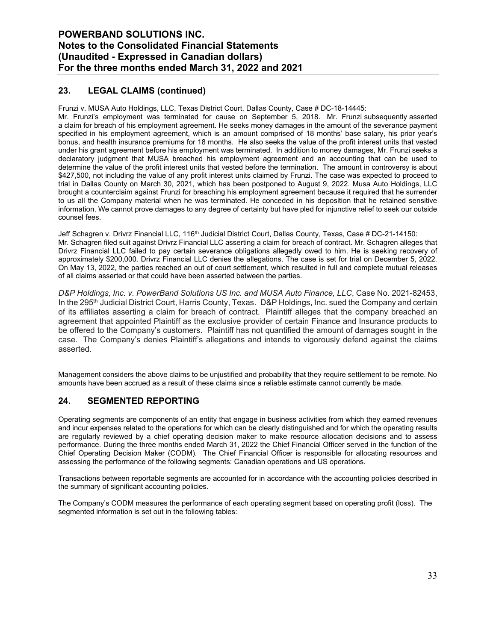## **23. LEGAL CLAIMS (continued)**

Frunzi v. MUSA Auto Holdings, LLC, Texas District Court, Dallas County, Case # DC-18-14445:

Mr. Frunzi's employment was terminated for cause on September 5, 2018. Mr. Frunzi subsequently asserted a claim for breach of his employment agreement. He seeks money damages in the amount of the severance payment specified in his employment agreement, which is an amount comprised of 18 months' base salary, his prior year's bonus, and health insurance premiums for 18 months. He also seeks the value of the profit interest units that vested under his grant agreement before his employment was terminated. In addition to money damages, Mr. Frunzi seeks a declaratory judgment that MUSA breached his employment agreement and an accounting that can be used to determine the value of the profit interest units that vested before the termination. The amount in controversy is about \$427,500, not including the value of any profit interest units claimed by Frunzi. The case was expected to proceed to trial in Dallas County on March 30, 2021, which has been postponed to August 9, 2022. Musa Auto Holdings, LLC brought a counterclaim against Frunzi for breaching his employment agreement because it required that he surrender to us all the Company material when he was terminated. He conceded in his deposition that he retained sensitive information. We cannot prove damages to any degree of certainty but have pled for injunctive relief to seek our outside counsel fees.

Jeff Schagren v. Drivrz Financial LLC, 116<sup>th</sup> Judicial District Court, Dallas County, Texas, Case # DC-21-14150: Mr. Schagren filed suit against Drivrz Financial LLC asserting a claim for breach of contract. Mr. Schagren alleges that Drivrz Financial LLC failed to pay certain severance obligations allegedly owed to him. He is seeking recovery of approximately \$200,000. Drivrz Financial LLC denies the allegations. The case is set for trial on December 5, 2022. On May 13, 2022, the parties reached an out of court settlement, which resulted in full and complete mutual releases of all claims asserted or that could have been asserted between the parties.

*D&P Holdings, Inc. v. PowerBand Solutions US Inc. and MUSA Auto Finance, LLC*, Case No. 2021-82453, In the 295<sup>th</sup> Judicial District Court, Harris County, Texas. D&P Holdings, Inc. sued the Company and certain of its affiliates asserting a claim for breach of contract. Plaintiff alleges that the company breached an agreement that appointed Plaintiff as the exclusive provider of certain Finance and Insurance products to be offered to the Company's customers. Plaintiff has not quantified the amount of damages sought in the case. The Company's denies Plaintiff's allegations and intends to vigorously defend against the claims asserted.

Management considers the above claims to be unjustified and probability that they require settlement to be remote. No amounts have been accrued as a result of these claims since a reliable estimate cannot currently be made.

## **24. SEGMENTED REPORTING**

Operating segments are components of an entity that engage in business activities from which they earned revenues and incur expenses related to the operations for which can be clearly distinguished and for which the operating results are regularly reviewed by a chief operating decision maker to make resource allocation decisions and to assess performance. During the three months ended March 31, 2022 the Chief Financial Officer served in the function of the Chief Operating Decision Maker (CODM). The Chief Financial Officer is responsible for allocating resources and assessing the performance of the following segments: Canadian operations and US operations.

Transactions between reportable segments are accounted for in accordance with the accounting policies described in the summary of significant accounting policies.

The Company's CODM measures the performance of each operating segment based on operating profit (loss). The segmented information is set out in the following tables: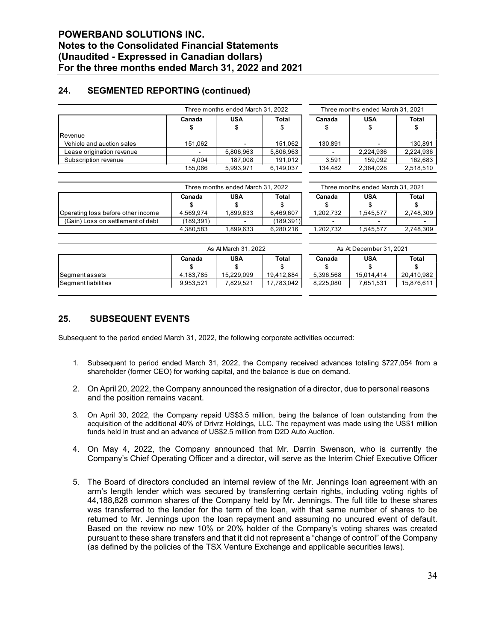## **24. SEGMENTED REPORTING (continued)**

|                           | Three months ended March 31, 2022 |            |                    | Three months ended March 31, 2021 |            |           |
|---------------------------|-----------------------------------|------------|--------------------|-----------------------------------|------------|-----------|
|                           | Canada                            | <b>USA</b> | <b>Total</b><br>\$ | Canada                            | <b>USA</b> | Total     |
| Revenue                   |                                   |            |                    |                                   |            |           |
| Vehicle and auction sales | 151,062                           |            | 151,062            | 130,891                           |            | 130,891   |
| Lease origination revenue |                                   | 5,806,963  | 5,806,963          |                                   | 2,224,936  | 2,224,936 |
| Subscription revenue      | 4,004                             | 187.008    | 191,012            | 3.591                             | 159.092    | 162,683   |
|                           | 155.066                           | 5.993.971  | 6,149,037          | 134.482                           | 2.384.028  | 2,518,510 |

|                                    | Three months ended March 31, 2022 |                |           |           | Three months ended March 31, 2021 |           |  |
|------------------------------------|-----------------------------------|----------------|-----------|-----------|-----------------------------------|-----------|--|
|                                    | <b>Total</b><br>USA<br>Canada     |                |           | Canada    | <b>USA</b>                        | Total     |  |
|                                    |                                   |                |           |           |                                   |           |  |
| Operating loss before other income | 4.569.974                         | .899.633       | 6.469.607 | 1.202.732 | .545.577                          | 2.748.309 |  |
| (Gain) Loss on settlement of debt  | (189.391)                         | $\blacksquare$ | (189.391) |           |                                   |           |  |
|                                    | 4.380.583                         | .899.633       | 6.280.216 | 1.202.732 | 1.545.577                         | 2,748,309 |  |

|                     |           | As At March 31, 2022 |              |           | As At December 31, 2021 |            |
|---------------------|-----------|----------------------|--------------|-----------|-------------------------|------------|
|                     | Canada    | <b>USA</b>           | <b>Total</b> | Canada    | <b>USA</b>              | Total      |
| Segment assets      | 4.183.785 | 15.229.099           | 19.412.884   | 5,396,568 | 15.014.414              | 20.410.982 |
| Segment liabilities | 9.953.521 | 7.829.521            | 17.783.042   | 8.225.080 | 7.651.531               | 15,876,611 |

## **25. SUBSEQUENT EVENTS**

Subsequent to the period ended March 31, 2022, the following corporate activities occurred:

- 1. Subsequent to period ended March 31, 2022, the Company received advances totaling \$727,054 from a shareholder (former CEO) for working capital, and the balance is due on demand.
- 2. On April 20, 2022, the Company announced the resignation of a director, due to personal reasons and the position remains vacant.
- 3. On April 30, 2022, the Company repaid US\$3.5 million, being the balance of loan outstanding from the acquisition of the additional 40% of Drivrz Holdings, LLC. The repayment was made using the US\$1 million funds held in trust and an advance of US\$2.5 million from D2D Auto Auction.
- 4. On May 4, 2022, the Company announced that Mr. Darrin Swenson, who is currently the Company's Chief Operating Officer and a director, will serve as the Interim Chief Executive Officer
- 5. The Board of directors concluded an internal review of the Mr. Jennings loan agreement with an arm's length lender which was secured by transferring certain rights, including voting rights of 44,188,828 common shares of the Company held by Mr. Jennings. The full title to these shares was transferred to the lender for the term of the loan, with that same number of shares to be returned to Mr. Jennings upon the loan repayment and assuming no uncured event of default. Based on the review no new 10% or 20% holder of the Company's voting shares was created pursuant to these share transfers and that it did not represent a "change of control" of the Company (as defined by the policies of the TSX Venture Exchange and applicable securities laws).